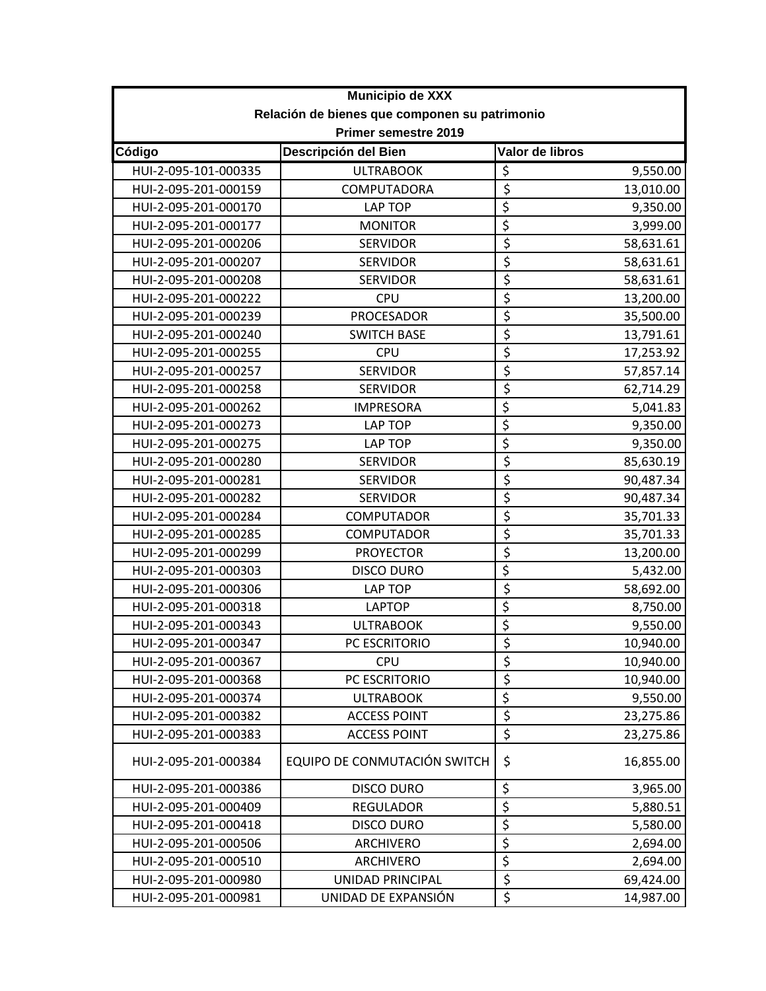| Municipio de XXX                              |                              |                                 |           |
|-----------------------------------------------|------------------------------|---------------------------------|-----------|
| Relación de bienes que componen su patrimonio |                              |                                 |           |
|                                               | Primer semestre 2019         |                                 |           |
| Código                                        | Descripción del Bien         | Valor de libros                 |           |
| HUI-2-095-101-000335                          | <b>ULTRABOOK</b>             | \$                              | 9,550.00  |
| HUI-2-095-201-000159                          | COMPUTADORA                  | $\overline{\xi}$                | 13,010.00 |
| HUI-2-095-201-000170                          | LAP TOP                      | \$                              | 9,350.00  |
| HUI-2-095-201-000177                          | <b>MONITOR</b>               | \$                              | 3,999.00  |
| HUI-2-095-201-000206                          | <b>SERVIDOR</b>              | $\overline{\xi}$                | 58,631.61 |
| HUI-2-095-201-000207                          | <b>SERVIDOR</b>              | $\overline{\xi}$                | 58,631.61 |
| HUI-2-095-201-000208                          | <b>SERVIDOR</b>              | \$                              | 58,631.61 |
| HUI-2-095-201-000222                          | <b>CPU</b>                   | $\overline{\xi}$                | 13,200.00 |
| HUI-2-095-201-000239                          | <b>PROCESADOR</b>            | \$                              | 35,500.00 |
| HUI-2-095-201-000240                          | <b>SWITCH BASE</b>           | $\overline{\xi}$                | 13,791.61 |
| HUI-2-095-201-000255                          | <b>CPU</b>                   | $\overline{\xi}$                | 17,253.92 |
| HUI-2-095-201-000257                          | <b>SERVIDOR</b>              | $\overline{\xi}$                | 57,857.14 |
| HUI-2-095-201-000258                          | <b>SERVIDOR</b>              | $\overline{\xi}$                | 62,714.29 |
| HUI-2-095-201-000262                          | <b>IMPRESORA</b>             | \$                              | 5,041.83  |
| HUI-2-095-201-000273                          | LAP TOP                      | \$                              | 9,350.00  |
| HUI-2-095-201-000275                          | LAP TOP                      | \$                              | 9,350.00  |
| HUI-2-095-201-000280                          | <b>SERVIDOR</b>              | $\overline{\xi}$                | 85,630.19 |
| HUI-2-095-201-000281                          | <b>SERVIDOR</b>              | $\overline{\xi}$                | 90,487.34 |
| HUI-2-095-201-000282                          | <b>SERVIDOR</b>              | \$                              | 90,487.34 |
| HUI-2-095-201-000284                          | COMPUTADOR                   | \$                              | 35,701.33 |
| HUI-2-095-201-000285                          | <b>COMPUTADOR</b>            | $\overline{\xi}$                | 35,701.33 |
| HUI-2-095-201-000299                          | <b>PROYECTOR</b>             | $\overline{\xi}$                | 13,200.00 |
| HUI-2-095-201-000303                          | <b>DISCO DURO</b>            | \$                              | 5,432.00  |
| HUI-2-095-201-000306                          | <b>LAP TOP</b>               | $\overline{\xi}$                | 58,692.00 |
| HUI-2-095-201-000318                          | <b>LAPTOP</b>                | \$                              | 8,750.00  |
| HUI-2-095-201-000343                          | <b>ULTRABOOK</b>             | \$                              | 9,550.00  |
| HUI-2-095-201-000347                          | PC ESCRITORIO                |                                 | 10,940.00 |
| HUI-2-095-201-000367                          | <b>CPU</b>                   | \$                              | 10,940.00 |
| HUI-2-095-201-000368                          | PC ESCRITORIO                | \$                              | 10,940.00 |
| HUI-2-095-201-000374                          | <b>ULTRABOOK</b>             | $\overline{\xi}$                | 9,550.00  |
| HUI-2-095-201-000382                          | <b>ACCESS POINT</b>          | \$                              | 23,275.86 |
| HUI-2-095-201-000383                          | <b>ACCESS POINT</b>          | \$                              | 23,275.86 |
| HUI-2-095-201-000384                          | EQUIPO DE CONMUTACIÓN SWITCH | \$                              | 16,855.00 |
| HUI-2-095-201-000386                          | <b>DISCO DURO</b>            | \$                              | 3,965.00  |
| HUI-2-095-201-000409                          | <b>REGULADOR</b>             | $\overline{\xi}$                | 5,880.51  |
| HUI-2-095-201-000418                          | <b>DISCO DURO</b>            | $\overline{\boldsymbol{\zeta}}$ | 5,580.00  |
| HUI-2-095-201-000506                          | ARCHIVERO                    | $\overline{\boldsymbol{\zeta}}$ | 2,694.00  |
| HUI-2-095-201-000510                          | ARCHIVERO                    | $\overline{\mathcal{L}}$        | 2,694.00  |
| HUI-2-095-201-000980                          | UNIDAD PRINCIPAL             | \$                              | 69,424.00 |
| HUI-2-095-201-000981                          | UNIDAD DE EXPANSIÓN          | \$                              | 14,987.00 |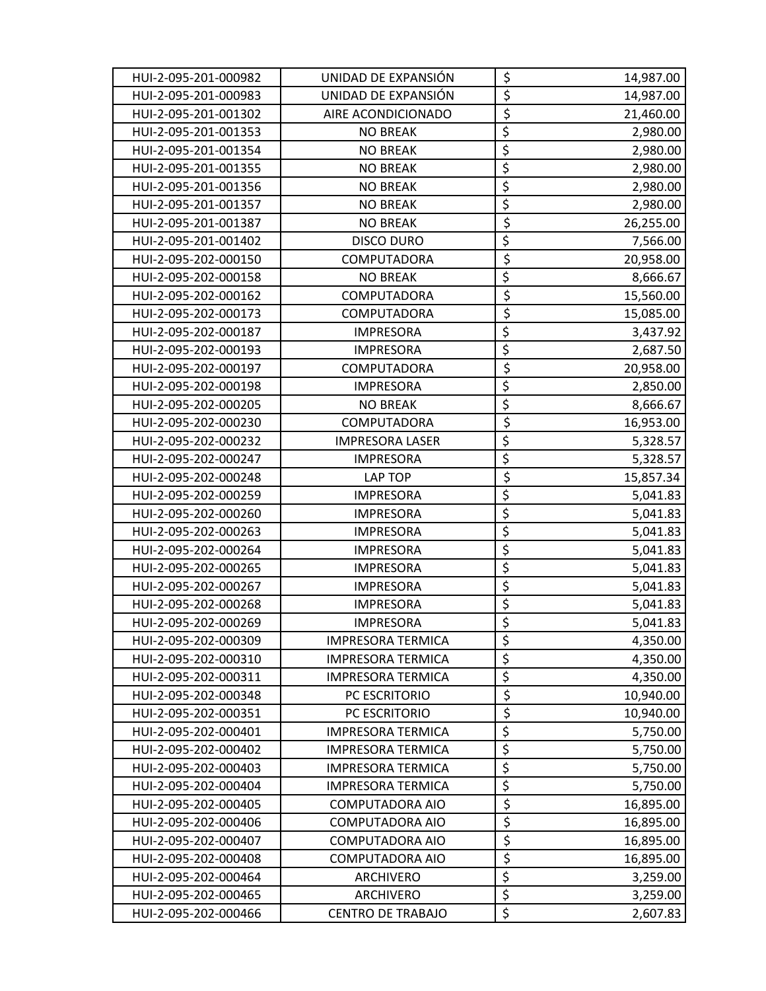| HUI-2-095-201-000982 | UNIDAD DE EXPANSIÓN      | \$                                  | 14,987.00 |
|----------------------|--------------------------|-------------------------------------|-----------|
| HUI-2-095-201-000983 | UNIDAD DE EXPANSIÓN      | $\overline{\xi}$                    | 14,987.00 |
| HUI-2-095-201-001302 | AIRE ACONDICIONADO       | $\overline{\xi}$                    | 21,460.00 |
| HUI-2-095-201-001353 | <b>NO BREAK</b>          | \$                                  | 2,980.00  |
| HUI-2-095-201-001354 | <b>NO BREAK</b>          | $\overline{\xi}$                    | 2,980.00  |
| HUI-2-095-201-001355 | <b>NO BREAK</b>          | $\overline{\xi}$                    | 2,980.00  |
| HUI-2-095-201-001356 | <b>NO BREAK</b>          | \$                                  | 2,980.00  |
| HUI-2-095-201-001357 | <b>NO BREAK</b>          | \$                                  | 2,980.00  |
| HUI-2-095-201-001387 | <b>NO BREAK</b>          | $\overline{\xi}$                    | 26,255.00 |
| HUI-2-095-201-001402 | <b>DISCO DURO</b>        | \$                                  | 7,566.00  |
| HUI-2-095-202-000150 | COMPUTADORA              | $\overline{\xi}$                    | 20,958.00 |
| HUI-2-095-202-000158 | <b>NO BREAK</b>          | $\overline{\xi}$                    | 8,666.67  |
| HUI-2-095-202-000162 | COMPUTADORA              | \$                                  | 15,560.00 |
| HUI-2-095-202-000173 | COMPUTADORA              | $\overline{\xi}$                    | 15,085.00 |
| HUI-2-095-202-000187 | <b>IMPRESORA</b>         | $\overline{\boldsymbol{\xi}}$       | 3,437.92  |
| HUI-2-095-202-000193 | <b>IMPRESORA</b>         | $\overline{\xi}$                    | 2,687.50  |
| HUI-2-095-202-000197 | COMPUTADORA              | $\overline{\xi}$                    | 20,958.00 |
| HUI-2-095-202-000198 | <b>IMPRESORA</b>         | $\overline{\xi}$                    | 2,850.00  |
| HUI-2-095-202-000205 | <b>NO BREAK</b>          | \$                                  | 8,666.67  |
| HUI-2-095-202-000230 | COMPUTADORA              | $\overline{\xi}$                    | 16,953.00 |
| HUI-2-095-202-000232 | <b>IMPRESORA LASER</b>   | \$                                  | 5,328.57  |
| HUI-2-095-202-000247 | <b>IMPRESORA</b>         | $\overline{\xi}$                    | 5,328.57  |
| HUI-2-095-202-000248 | LAP TOP                  | $\overline{\xi}$                    | 15,857.34 |
| HUI-2-095-202-000259 | <b>IMPRESORA</b>         | \$                                  | 5,041.83  |
| HUI-2-095-202-000260 | <b>IMPRESORA</b>         | \$                                  | 5,041.83  |
| HUI-2-095-202-000263 | <b>IMPRESORA</b>         | $\overline{\xi}$                    | 5,041.83  |
| HUI-2-095-202-000264 | <b>IMPRESORA</b>         | \$                                  | 5,041.83  |
| HUI-2-095-202-000265 | <b>IMPRESORA</b>         | $\overline{\xi}$                    | 5,041.83  |
| HUI-2-095-202-000267 | <b>IMPRESORA</b>         | $\overline{\xi}$                    | 5,041.83  |
| HUI-2-095-202-000268 | <b>IMPRESORA</b>         | $\overline{\boldsymbol{\zeta}}$     | 5,041.83  |
| HUI-2-095-202-000269 | <b>IMPRESORA</b>         | $\overline{\boldsymbol{\varsigma}}$ | 5,041.83  |
| HUI-2-095-202-000309 | <b>IMPRESORA TERMICA</b> | \$                                  | 4,350.00  |
| HUI-2-095-202-000310 | <b>IMPRESORA TERMICA</b> | \$                                  | 4,350.00  |
| HUI-2-095-202-000311 | <b>IMPRESORA TERMICA</b> | $\overline{\xi}$                    | 4,350.00  |
| HUI-2-095-202-000348 | PC ESCRITORIO            | \$                                  | 10,940.00 |
| HUI-2-095-202-000351 | PC ESCRITORIO            | $\overline{\xi}$                    | 10,940.00 |
| HUI-2-095-202-000401 | <b>IMPRESORA TERMICA</b> | $\overline{\boldsymbol{\zeta}}$     | 5,750.00  |
| HUI-2-095-202-000402 | <b>IMPRESORA TERMICA</b> | \$                                  | 5,750.00  |
| HUI-2-095-202-000403 | <b>IMPRESORA TERMICA</b> | $\overline{\xi}$                    | 5,750.00  |
| HUI-2-095-202-000404 | <b>IMPRESORA TERMICA</b> | \$                                  | 5,750.00  |
| HUI-2-095-202-000405 | COMPUTADORA AIO          | $\overline{\xi}$                    | 16,895.00 |
| HUI-2-095-202-000406 | COMPUTADORA AIO          | \$                                  | 16,895.00 |
| HUI-2-095-202-000407 | COMPUTADORA AIO          | \$                                  | 16,895.00 |
| HUI-2-095-202-000408 | COMPUTADORA AIO          | \$                                  | 16,895.00 |
| HUI-2-095-202-000464 | ARCHIVERO                | $\overline{\xi}$                    | 3,259.00  |
| HUI-2-095-202-000465 | ARCHIVERO                | $\overline{\xi}$                    | 3,259.00  |
| HUI-2-095-202-000466 | <b>CENTRO DE TRABAJO</b> | \$                                  | 2,607.83  |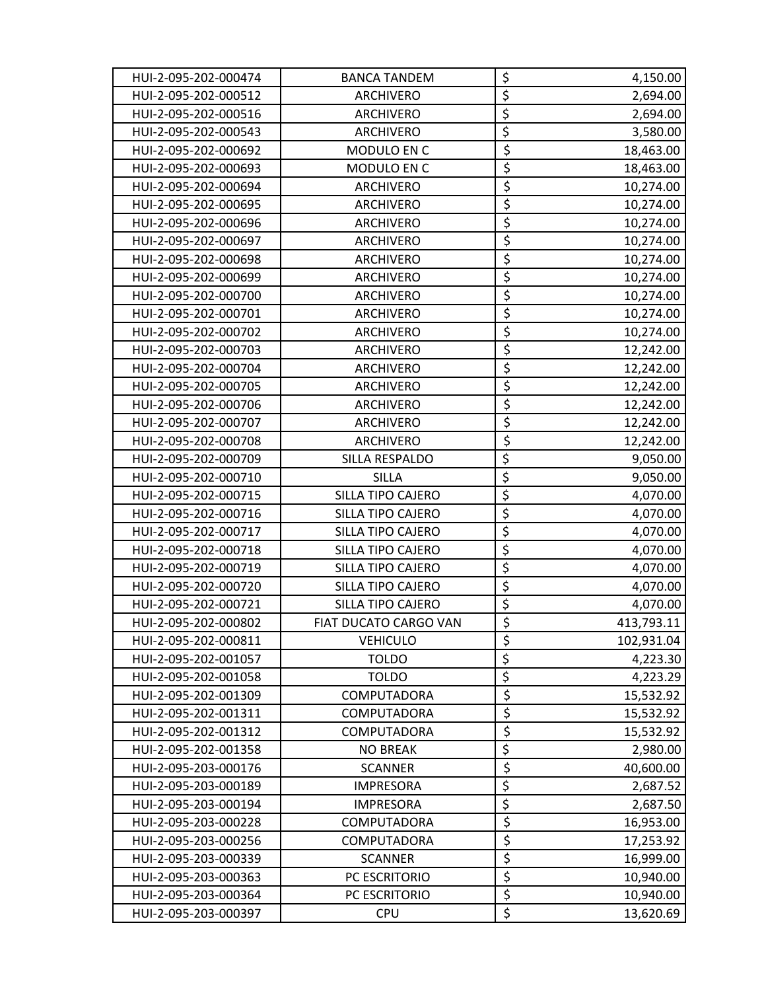| HUI-2-095-202-000474 | <b>BANCA TANDEM</b>   | \$                              | 4,150.00   |
|----------------------|-----------------------|---------------------------------|------------|
| HUI-2-095-202-000512 | ARCHIVERO             | $\overline{\boldsymbol{\zeta}}$ | 2,694.00   |
| HUI-2-095-202-000516 | <b>ARCHIVERO</b>      | $\overline{\xi}$                | 2,694.00   |
| HUI-2-095-202-000543 | <b>ARCHIVERO</b>      | $\overline{\xi}$                | 3,580.00   |
| HUI-2-095-202-000692 | MODULO EN C           | $\overline{\xi}$                | 18,463.00  |
| HUI-2-095-202-000693 | MODULO EN C           | $\overline{\xi}$                | 18,463.00  |
| HUI-2-095-202-000694 | ARCHIVERO             | $\overline{\xi}$                | 10,274.00  |
| HUI-2-095-202-000695 | <b>ARCHIVERO</b>      | $\overline{\xi}$                | 10,274.00  |
| HUI-2-095-202-000696 | <b>ARCHIVERO</b>      | $\overline{\xi}$                | 10,274.00  |
| HUI-2-095-202-000697 | <b>ARCHIVERO</b>      | \$                              | 10,274.00  |
| HUI-2-095-202-000698 | ARCHIVERO             | $\overline{\xi}$                | 10,274.00  |
| HUI-2-095-202-000699 | ARCHIVERO             | $\overline{\xi}$                | 10,274.00  |
| HUI-2-095-202-000700 | ARCHIVERO             | \$                              | 10,274.00  |
| HUI-2-095-202-000701 | <b>ARCHIVERO</b>      | $\overline{\xi}$                | 10,274.00  |
| HUI-2-095-202-000702 | ARCHIVERO             | \$                              | 10,274.00  |
| HUI-2-095-202-000703 | <b>ARCHIVERO</b>      | $\overline{\boldsymbol{\zeta}}$ | 12,242.00  |
| HUI-2-095-202-000704 | ARCHIVERO             | $\overline{\xi}$                | 12,242.00  |
| HUI-2-095-202-000705 | ARCHIVERO             | \$                              | 12,242.00  |
| HUI-2-095-202-000706 | <b>ARCHIVERO</b>      | $\overline{\boldsymbol{\zeta}}$ | 12,242.00  |
| HUI-2-095-202-000707 | ARCHIVERO             | $\overline{\xi}$                | 12,242.00  |
| HUI-2-095-202-000708 | ARCHIVERO             | $\overline{\xi}$                | 12,242.00  |
| HUI-2-095-202-000709 | SILLA RESPALDO        | $\overline{\xi}$                | 9,050.00   |
| HUI-2-095-202-000710 | <b>SILLA</b>          | $\overline{\xi}$                | 9,050.00   |
| HUI-2-095-202-000715 | SILLA TIPO CAJERO     | \$                              | 4,070.00   |
| HUI-2-095-202-000716 | SILLA TIPO CAJERO     | $\overline{\xi}$                | 4,070.00   |
| HUI-2-095-202-000717 | SILLA TIPO CAJERO     | \$                              | 4,070.00   |
| HUI-2-095-202-000718 | SILLA TIPO CAJERO     | $\overline{\xi}$                | 4,070.00   |
| HUI-2-095-202-000719 | SILLA TIPO CAJERO     | \$                              | 4,070.00   |
| HUI-2-095-202-000720 | SILLA TIPO CAJERO     | $\overline{\xi}$                | 4,070.00   |
| HUI-2-095-202-000721 | SILLA TIPO CAJERO     | $\overline{\xi}$                | 4,070.00   |
| HUI-2-095-202-000802 | FIAT DUCATO CARGO VAN | $\overline{\xi}$                | 413,793.11 |
| HUI-2-095-202-000811 | <b>VEHICULO</b>       | \$                              | 102,931.04 |
| HUI-2-095-202-001057 | <b>TOLDO</b>          | $\overline{\xi}$                | 4,223.30   |
| HUI-2-095-202-001058 | <b>TOLDO</b>          | $\overline{\xi}$                | 4,223.29   |
| HUI-2-095-202-001309 | COMPUTADORA           | $\overline{\xi}$                | 15,532.92  |
| HUI-2-095-202-001311 | <b>COMPUTADORA</b>    | \$                              | 15,532.92  |
| HUI-2-095-202-001312 | COMPUTADORA           | $\overline{\xi}$                | 15,532.92  |
| HUI-2-095-202-001358 | <b>NO BREAK</b>       | \$                              | 2,980.00   |
| HUI-2-095-203-000176 | <b>SCANNER</b>        | $\overline{\xi}$                | 40,600.00  |
| HUI-2-095-203-000189 | <b>IMPRESORA</b>      | \$                              | 2,687.52   |
| HUI-2-095-203-000194 | <b>IMPRESORA</b>      | $\overline{\xi}$                | 2,687.50   |
| HUI-2-095-203-000228 | COMPUTADORA           | $\overline{\boldsymbol{\zeta}}$ | 16,953.00  |
| HUI-2-095-203-000256 | COMPUTADORA           | $\overline{\xi}$                | 17,253.92  |
| HUI-2-095-203-000339 | <b>SCANNER</b>        | \$                              | 16,999.00  |
| HUI-2-095-203-000363 | PC ESCRITORIO         | \$                              | 10,940.00  |
| HUI-2-095-203-000364 | PC ESCRITORIO         | \$                              | 10,940.00  |
| HUI-2-095-203-000397 | <b>CPU</b>            | \$                              | 13,620.69  |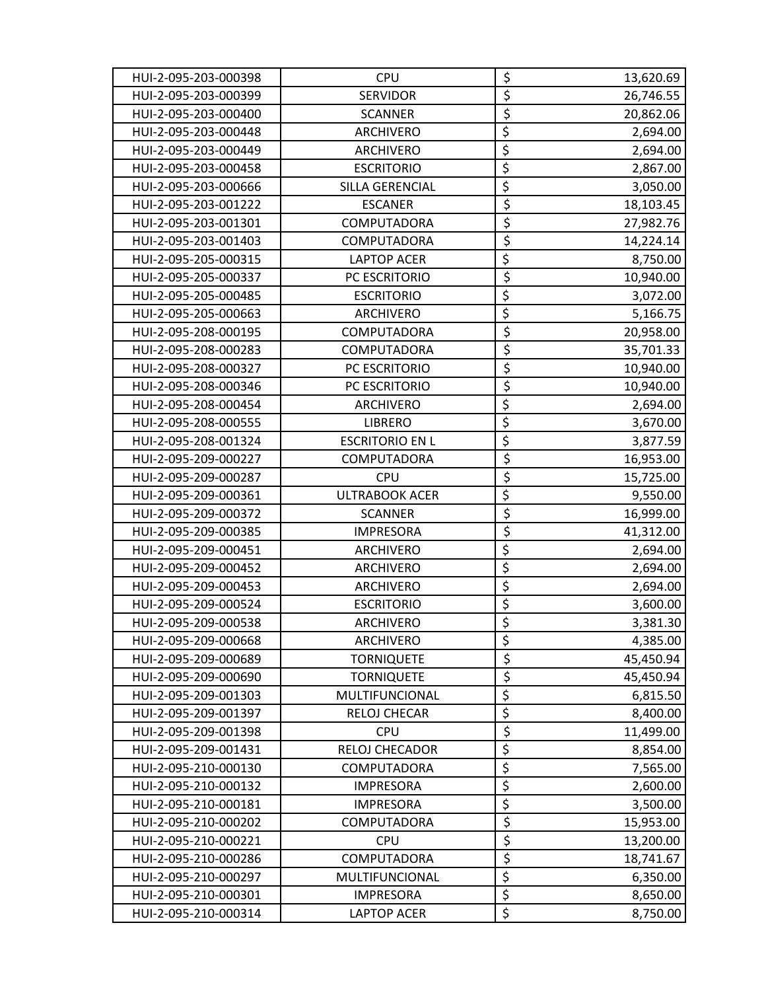| HUI-2-095-203-000398 | <b>CPU</b>             | \$                                  | 13,620.69 |
|----------------------|------------------------|-------------------------------------|-----------|
| HUI-2-095-203-000399 | <b>SERVIDOR</b>        | $\overline{\xi}$                    | 26,746.55 |
| HUI-2-095-203-000400 | <b>SCANNER</b>         | $\overline{\xi}$                    | 20,862.06 |
| HUI-2-095-203-000448 | <b>ARCHIVERO</b>       | \$                                  | 2,694.00  |
| HUI-2-095-203-000449 | <b>ARCHIVERO</b>       | $\overline{\xi}$                    | 2,694.00  |
| HUI-2-095-203-000458 | <b>ESCRITORIO</b>      | $\overline{\xi}$                    | 2,867.00  |
| HUI-2-095-203-000666 | SILLA GERENCIAL        | \$                                  | 3,050.00  |
| HUI-2-095-203-001222 | <b>ESCANER</b>         | $\overline{\xi}$                    | 18,103.45 |
| HUI-2-095-203-001301 | COMPUTADORA            | $\overline{\xi}$                    | 27,982.76 |
| HUI-2-095-203-001403 | COMPUTADORA            | \$                                  | 14,224.14 |
| HUI-2-095-205-000315 | <b>LAPTOP ACER</b>     | $\overline{\xi}$                    | 8,750.00  |
| HUI-2-095-205-000337 | PC ESCRITORIO          | $\overline{\xi}$                    | 10,940.00 |
| HUI-2-095-205-000485 | <b>ESCRITORIO</b>      | \$                                  | 3,072.00  |
| HUI-2-095-205-000663 | <b>ARCHIVERO</b>       | \$                                  | 5,166.75  |
| HUI-2-095-208-000195 | COMPUTADORA            | $\overline{\xi}$                    | 20,958.00 |
| HUI-2-095-208-000283 | COMPUTADORA            | $\overline{\xi}$                    | 35,701.33 |
| HUI-2-095-208-000327 | PC ESCRITORIO          | \$                                  | 10,940.00 |
| HUI-2-095-208-000346 | PC ESCRITORIO          | $\overline{\xi}$                    | 10,940.00 |
| HUI-2-095-208-000454 | ARCHIVERO              | \$                                  | 2,694.00  |
| HUI-2-095-208-000555 | <b>LIBRERO</b>         | \$                                  | 3,670.00  |
| HUI-2-095-208-001324 | <b>ESCRITORIO EN L</b> | \$                                  | 3,877.59  |
| HUI-2-095-209-000227 | COMPUTADORA            | $\overline{\xi}$                    | 16,953.00 |
| HUI-2-095-209-000287 | <b>CPU</b>             | $\overline{\xi}$                    | 15,725.00 |
| HUI-2-095-209-000361 | <b>ULTRABOOK ACER</b>  | \$                                  | 9,550.00  |
| HUI-2-095-209-000372 | <b>SCANNER</b>         | $\overline{\xi}$                    | 16,999.00 |
| HUI-2-095-209-000385 | <b>IMPRESORA</b>       | $\overline{\xi}$                    | 41,312.00 |
| HUI-2-095-209-000451 | ARCHIVERO              | $\overline{\xi}$                    | 2,694.00  |
| HUI-2-095-209-000452 | ARCHIVERO              | $\overline{\xi}$                    | 2,694.00  |
| HUI-2-095-209-000453 | ARCHIVERO              | $\overline{\xi}$                    | 2,694.00  |
| HUI-2-095-209-000524 | <b>ESCRITORIO</b>      | $\overline{\boldsymbol{\zeta}}$     | 3,600.00  |
| HUI-2-095-209-000538 | <b>ARCHIVERO</b>       | $\overline{\boldsymbol{\varsigma}}$ | 3,381.30  |
| HUI-2-095-209-000668 | ARCHIVERO              | \$                                  | 4,385.00  |
| HUI-2-095-209-000689 | <b>TORNIQUETE</b>      | $\overline{\xi}$                    | 45,450.94 |
| HUI-2-095-209-000690 | <b>TORNIQUETE</b>      | $\overline{\xi}$                    | 45,450.94 |
| HUI-2-095-209-001303 | MULTIFUNCIONAL         | \$                                  | 6,815.50  |
| HUI-2-095-209-001397 | RELOJ CHECAR           | $\overline{\xi}$                    | 8,400.00  |
| HUI-2-095-209-001398 | <b>CPU</b>             | $\overline{\xi}$                    | 11,499.00 |
| HUI-2-095-209-001431 | <b>RELOJ CHECADOR</b>  | $\overline{\xi}$                    | 8,854.00  |
| HUI-2-095-210-000130 | COMPUTADORA            | $\overline{\xi}$                    | 7,565.00  |
| HUI-2-095-210-000132 | <b>IMPRESORA</b>       | $\overline{\xi}$                    | 2,600.00  |
| HUI-2-095-210-000181 | <b>IMPRESORA</b>       | $\overline{\xi}$                    | 3,500.00  |
| HUI-2-095-210-000202 | COMPUTADORA            | \$                                  | 15,953.00 |
| HUI-2-095-210-000221 | <b>CPU</b>             | \$                                  | 13,200.00 |
| HUI-2-095-210-000286 | COMPUTADORA            | \$                                  | 18,741.67 |
| HUI-2-095-210-000297 | MULTIFUNCIONAL         | $\overline{\xi}$                    | 6,350.00  |
| HUI-2-095-210-000301 | <b>IMPRESORA</b>       | $\overline{\xi}$                    | 8,650.00  |
| HUI-2-095-210-000314 | <b>LAPTOP ACER</b>     | $\overline{\boldsymbol{\zeta}}$     | 8,750.00  |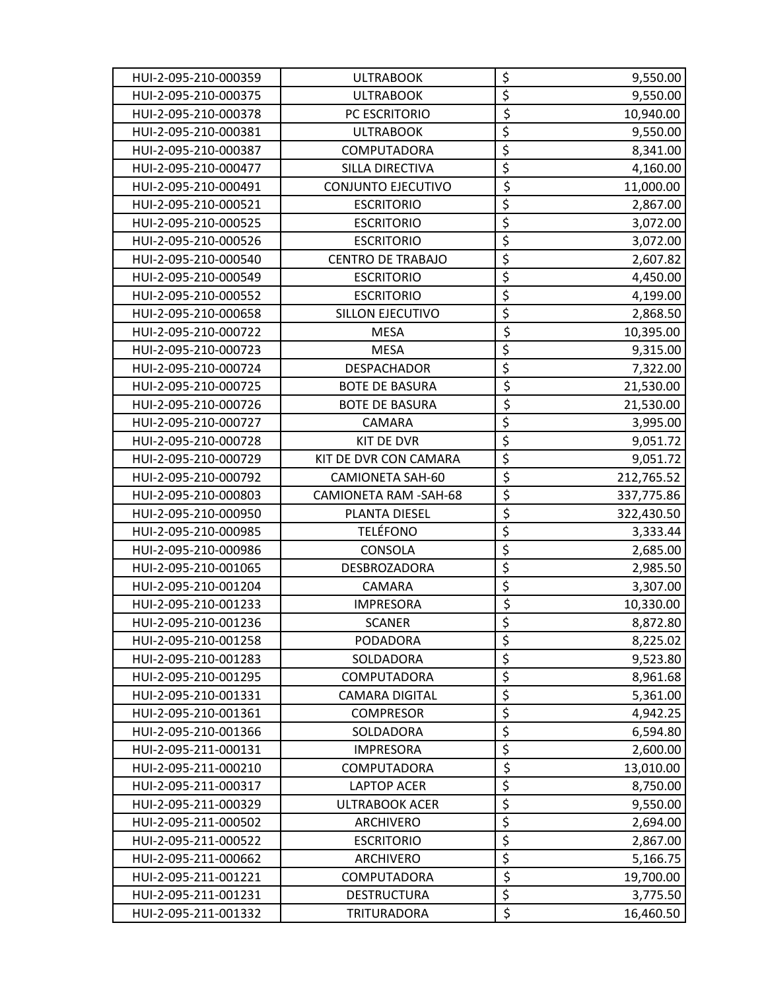| HUI-2-095-210-000359 | <b>ULTRABOOK</b>         | \$                              | 9,550.00   |
|----------------------|--------------------------|---------------------------------|------------|
| HUI-2-095-210-000375 | <b>ULTRABOOK</b>         | \$                              | 9,550.00   |
| HUI-2-095-210-000378 | PC ESCRITORIO            | \$                              | 10,940.00  |
| HUI-2-095-210-000381 | <b>ULTRABOOK</b>         | $\overline{\xi}$                | 9,550.00   |
| HUI-2-095-210-000387 | COMPUTADORA              | $\overline{\boldsymbol{\xi}}$   | 8,341.00   |
| HUI-2-095-210-000477 | SILLA DIRECTIVA          | $\overline{\xi}$                | 4,160.00   |
| HUI-2-095-210-000491 | CONJUNTO EJECUTIVO       | $\overline{\xi}$                | 11,000.00  |
| HUI-2-095-210-000521 | <b>ESCRITORIO</b>        | $\overline{\xi}$                | 2,867.00   |
| HUI-2-095-210-000525 | <b>ESCRITORIO</b>        | \$                              | 3,072.00   |
| HUI-2-095-210-000526 | <b>ESCRITORIO</b>        | $\overline{\xi}$                | 3,072.00   |
| HUI-2-095-210-000540 | <b>CENTRO DE TRABAJO</b> | $\overline{\xi}$                | 2,607.82   |
| HUI-2-095-210-000549 | <b>ESCRITORIO</b>        | \$                              | 4,450.00   |
| HUI-2-095-210-000552 | <b>ESCRITORIO</b>        | $\overline{\xi}$                | 4,199.00   |
| HUI-2-095-210-000658 | SILLON EJECUTIVO         | $\overline{\xi}$                | 2,868.50   |
| HUI-2-095-210-000722 | <b>MESA</b>              | $\overline{\xi}$                | 10,395.00  |
| HUI-2-095-210-000723 | <b>MESA</b>              | $\overline{\boldsymbol{\zeta}}$ | 9,315.00   |
| HUI-2-095-210-000724 | <b>DESPACHADOR</b>       | $\overline{\xi}$                | 7,322.00   |
| HUI-2-095-210-000725 | <b>BOTE DE BASURA</b>    | \$                              | 21,530.00  |
| HUI-2-095-210-000726 | <b>BOTE DE BASURA</b>    | $\overline{\xi}$                | 21,530.00  |
| HUI-2-095-210-000727 | CAMARA                   | \$                              | 3,995.00   |
| HUI-2-095-210-000728 | KIT DE DVR               | $\overline{\xi}$                | 9,051.72   |
| HUI-2-095-210-000729 | KIT DE DVR CON CAMARA    | $\overline{\xi}$                | 9,051.72   |
| HUI-2-095-210-000792 | <b>CAMIONETA SAH-60</b>  | $\overline{\xi}$                | 212,765.52 |
| HUI-2-095-210-000803 | CAMIONETA RAM -SAH-68    | $\overline{\xi}$                | 337,775.86 |
| HUI-2-095-210-000950 | PLANTA DIESEL            | \$                              | 322,430.50 |
| HUI-2-095-210-000985 | <b>TELÉFONO</b>          | \$                              | 3,333.44   |
| HUI-2-095-210-000986 | <b>CONSOLA</b>           | \$                              | 2,685.00   |
| HUI-2-095-210-001065 | <b>DESBROZADORA</b>      | \$                              | 2,985.50   |
| HUI-2-095-210-001204 | CAMARA                   | $\overline{\xi}$                | 3,307.00   |
| HUI-2-095-210-001233 | <b>IMPRESORA</b>         | $\overline{\xi}$                | 10,330.00  |
| HUI-2-095-210-001236 | <b>SCANER</b>            | $\overline{\xi}$                | 8,872.80   |
| HUI-2-095-210-001258 | <b>PODADORA</b>          | \$                              | 8,225.02   |
| HUI-2-095-210-001283 | SOLDADORA                | $\overline{\xi}$                | 9,523.80   |
| HUI-2-095-210-001295 | COMPUTADORA              | $\overline{\xi}$                | 8,961.68   |
| HUI-2-095-210-001331 | <b>CAMARA DIGITAL</b>    | $\overline{\xi}$                | 5,361.00   |
| HUI-2-095-210-001361 | <b>COMPRESOR</b>         | $\overline{\xi}$                | 4,942.25   |
| HUI-2-095-210-001366 | SOLDADORA                | $\overline{\boldsymbol{\zeta}}$ | 6,594.80   |
| HUI-2-095-211-000131 | <b>IMPRESORA</b>         | $\overline{\xi}$                | 2,600.00   |
| HUI-2-095-211-000210 | COMPUTADORA              | $\overline{\xi}$                | 13,010.00  |
| HUI-2-095-211-000317 | <b>LAPTOP ACER</b>       | $\overline{\xi}$                | 8,750.00   |
| HUI-2-095-211-000329 | <b>ULTRABOOK ACER</b>    | $\overline{\xi}$                | 9,550.00   |
| HUI-2-095-211-000502 | ARCHIVERO                | $\overline{\boldsymbol{\zeta}}$ | 2,694.00   |
| HUI-2-095-211-000522 | <b>ESCRITORIO</b>        | $\overline{\xi}$                | 2,867.00   |
| HUI-2-095-211-000662 | ARCHIVERO                | $\overline{\xi}$                | 5,166.75   |
| HUI-2-095-211-001221 | COMPUTADORA              | $\overline{\xi}$                | 19,700.00  |
| HUI-2-095-211-001231 | <b>DESTRUCTURA</b>       | \$                              | 3,775.50   |
| HUI-2-095-211-001332 | <b>TRITURADORA</b>       | \$                              | 16,460.50  |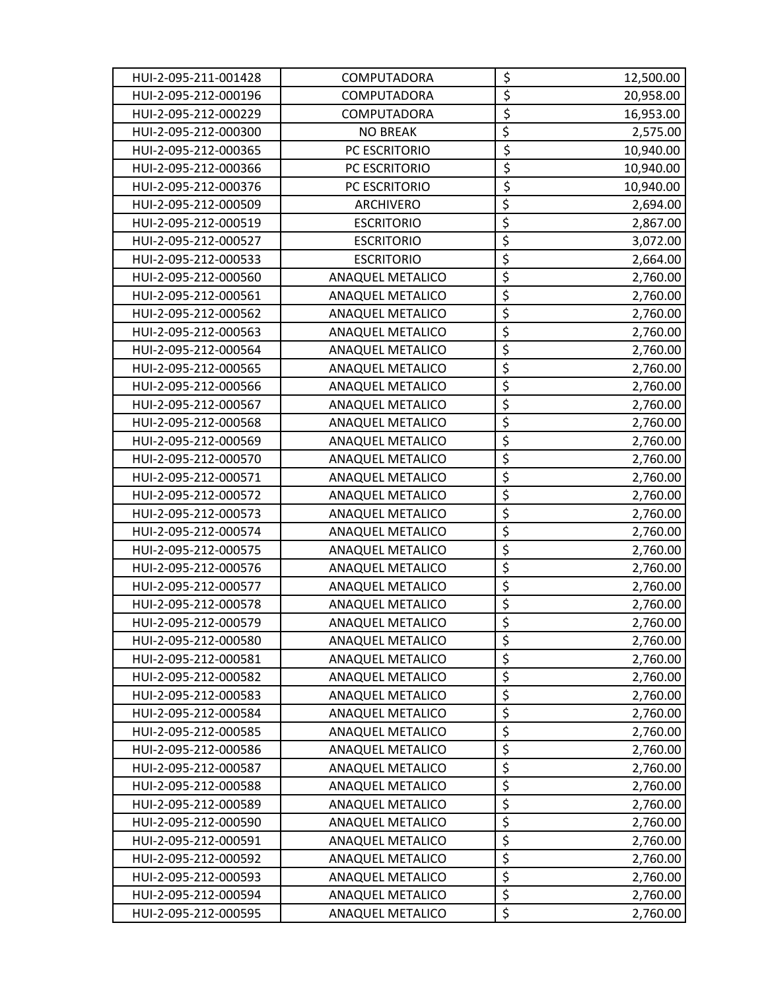| HUI-2-095-211-001428 | <b>COMPUTADORA</b>      | \$                              | 12,500.00 |
|----------------------|-------------------------|---------------------------------|-----------|
| HUI-2-095-212-000196 | COMPUTADORA             | \$                              | 20,958.00 |
| HUI-2-095-212-000229 | COMPUTADORA             | $\overline{\xi}$                | 16,953.00 |
| HUI-2-095-212-000300 | <b>NO BREAK</b>         | \$                              | 2,575.00  |
| HUI-2-095-212-000365 | PC ESCRITORIO           | $\overline{\xi}$                | 10,940.00 |
| HUI-2-095-212-000366 | PC ESCRITORIO           | $\overline{\xi}$                | 10,940.00 |
| HUI-2-095-212-000376 | PC ESCRITORIO           | $\overline{\boldsymbol{\zeta}}$ | 10,940.00 |
| HUI-2-095-212-000509 | ARCHIVERO               | \$                              | 2,694.00  |
| HUI-2-095-212-000519 | <b>ESCRITORIO</b>       | \$                              | 2,867.00  |
| HUI-2-095-212-000527 | <b>ESCRITORIO</b>       | $\overline{\xi}$                | 3,072.00  |
| HUI-2-095-212-000533 | <b>ESCRITORIO</b>       | $\overline{\xi}$                | 2,664.00  |
| HUI-2-095-212-000560 | <b>ANAQUEL METALICO</b> | $\overline{\xi}$                | 2,760.00  |
| HUI-2-095-212-000561 | ANAQUEL METALICO        | \$                              | 2,760.00  |
| HUI-2-095-212-000562 | ANAQUEL METALICO        | \$                              | 2,760.00  |
| HUI-2-095-212-000563 | ANAQUEL METALICO        | $\overline{\xi}$                | 2,760.00  |
| HUI-2-095-212-000564 | <b>ANAQUEL METALICO</b> | \$                              | 2,760.00  |
| HUI-2-095-212-000565 | ANAQUEL METALICO        | $\overline{\xi}$                | 2,760.00  |
| HUI-2-095-212-000566 | ANAQUEL METALICO        | $\overline{\xi}$                | 2,760.00  |
| HUI-2-095-212-000567 | <b>ANAQUEL METALICO</b> | \$                              | 2,760.00  |
| HUI-2-095-212-000568 | ANAQUEL METALICO        | $\overline{\boldsymbol{\zeta}}$ | 2,760.00  |
| HUI-2-095-212-000569 | ANAQUEL METALICO        | \$                              | 2,760.00  |
| HUI-2-095-212-000570 | ANAQUEL METALICO        | $\overline{\xi}$                | 2,760.00  |
| HUI-2-095-212-000571 | ANAQUEL METALICO        | $\overline{\mathsf{S}}$         | 2,760.00  |
| HUI-2-095-212-000572 | ANAQUEL METALICO        | \$                              | 2,760.00  |
| HUI-2-095-212-000573 | ANAQUEL METALICO        | $\overline{\xi}$                | 2,760.00  |
| HUI-2-095-212-000574 | <b>ANAQUEL METALICO</b> | \$                              | 2,760.00  |
| HUI-2-095-212-000575 | ANAQUEL METALICO        | \$                              | 2,760.00  |
| HUI-2-095-212-000576 | ANAQUEL METALICO        | $\overline{\xi}$                | 2,760.00  |
| HUI-2-095-212-000577 | <b>ANAQUEL METALICO</b> | $\overline{\xi}$                | 2,760.00  |
| HUI-2-095-212-000578 | <b>ANAQUEL METALICO</b> | $\overline{\boldsymbol{\zeta}}$ | 2,760.00  |
| HUI-2-095-212-000579 | <b>ANAQUEL METALICO</b> | $\overline{\xi}$                | 2,760.00  |
| HUI-2-095-212-000580 | ANAQUEL METALICO        | \$                              | 2,760.00  |
| HUI-2-095-212-000581 | <b>ANAQUEL METALICO</b> | \$                              | 2,760.00  |
| HUI-2-095-212-000582 | <b>ANAQUEL METALICO</b> | $\overline{\xi}$                | 2,760.00  |
| HUI-2-095-212-000583 | <b>ANAQUEL METALICO</b> | $\overline{\boldsymbol{\zeta}}$ | 2,760.00  |
| HUI-2-095-212-000584 | <b>ANAQUEL METALICO</b> | $\overline{\xi}$                | 2,760.00  |
| HUI-2-095-212-000585 | ANAQUEL METALICO        | \$                              | 2,760.00  |
| HUI-2-095-212-000586 | ANAQUEL METALICO        | \$                              | 2,760.00  |
| HUI-2-095-212-000587 | ANAQUEL METALICO        | $\overline{\xi}$                | 2,760.00  |
| HUI-2-095-212-000588 | ANAQUEL METALICO        | \$                              | 2,760.00  |
| HUI-2-095-212-000589 | ANAQUEL METALICO        | $\overline{\xi}$                | 2,760.00  |
| HUI-2-095-212-000590 | ANAQUEL METALICO        | \$                              | 2,760.00  |
| HUI-2-095-212-000591 | ANAQUEL METALICO        | $\overline{\xi}$                | 2,760.00  |
| HUI-2-095-212-000592 | ANAQUEL METALICO        | $\overline{\xi}$                | 2,760.00  |
| HUI-2-095-212-000593 | <b>ANAQUEL METALICO</b> | $\overline{\xi}$                | 2,760.00  |
| HUI-2-095-212-000594 | ANAQUEL METALICO        | $\overline{\xi}$                | 2,760.00  |
| HUI-2-095-212-000595 | ANAQUEL METALICO        | \$                              | 2,760.00  |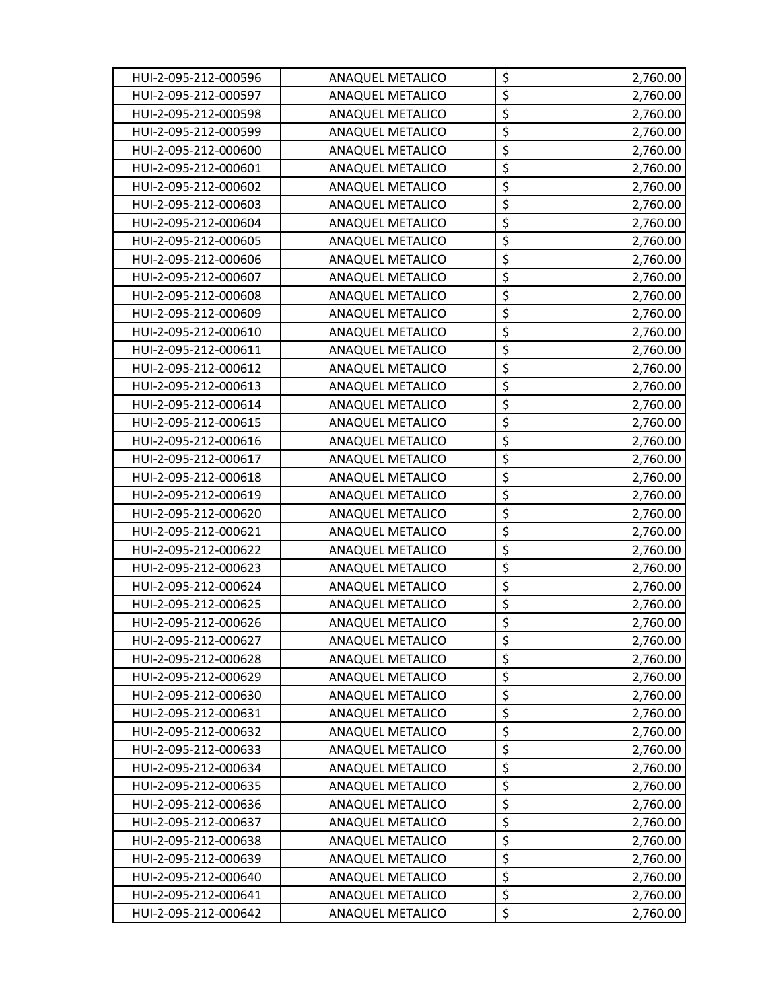| HUI-2-095-212-000596 | <b>ANAQUEL METALICO</b> | \$                              | 2,760.00 |
|----------------------|-------------------------|---------------------------------|----------|
| HUI-2-095-212-000597 | ANAQUEL METALICO        | $\overline{\xi}$                | 2,760.00 |
| HUI-2-095-212-000598 | ANAQUEL METALICO        | $\overline{\xi}$                | 2,760.00 |
| HUI-2-095-212-000599 | <b>ANAQUEL METALICO</b> | $\overline{\xi}$                | 2,760.00 |
| HUI-2-095-212-000600 | <b>ANAQUEL METALICO</b> | $\overline{\xi}$                | 2,760.00 |
| HUI-2-095-212-000601 | ANAQUEL METALICO        | $\overline{\xi}$                | 2,760.00 |
| HUI-2-095-212-000602 | ANAQUEL METALICO        | $\overline{\xi}$                | 2,760.00 |
| HUI-2-095-212-000603 | <b>ANAQUEL METALICO</b> | $\overline{\xi}$                | 2,760.00 |
| HUI-2-095-212-000604 | <b>ANAQUEL METALICO</b> | $\overline{\boldsymbol{\zeta}}$ | 2,760.00 |
| HUI-2-095-212-000605 | <b>ANAQUEL METALICO</b> | $\overline{\xi}$                | 2,760.00 |
| HUI-2-095-212-000606 | ANAQUEL METALICO        | $\overline{\xi}$                | 2,760.00 |
| HUI-2-095-212-000607 | ANAQUEL METALICO        | $\overline{\xi}$                | 2,760.00 |
| HUI-2-095-212-000608 | ANAQUEL METALICO        | $\overline{\xi}$                | 2,760.00 |
| HUI-2-095-212-000609 | ANAQUEL METALICO        | $\overline{\boldsymbol{\zeta}}$ | 2,760.00 |
| HUI-2-095-212-000610 | ANAQUEL METALICO        | $\overline{\xi}$                | 2,760.00 |
| HUI-2-095-212-000611 | <b>ANAQUEL METALICO</b> | $\overline{\xi}$                | 2,760.00 |
| HUI-2-095-212-000612 | ANAQUEL METALICO        | $\overline{\xi}$                | 2,760.00 |
| HUI-2-095-212-000613 | ANAQUEL METALICO        | $\overline{\xi}$                | 2,760.00 |
| HUI-2-095-212-000614 | <b>ANAQUEL METALICO</b> | $\overline{\xi}$                | 2,760.00 |
| HUI-2-095-212-000615 | <b>ANAQUEL METALICO</b> | \$                              | 2,760.00 |
| HUI-2-095-212-000616 | ANAQUEL METALICO        | $\overline{\boldsymbol{\zeta}}$ | 2,760.00 |
| HUI-2-095-212-000617 | ANAQUEL METALICO        | $\overline{\xi}$                | 2,760.00 |
| HUI-2-095-212-000618 | <b>ANAQUEL METALICO</b> | $\overline{\boldsymbol{\zeta}}$ | 2,760.00 |
| HUI-2-095-212-000619 | ANAQUEL METALICO        | $\overline{\xi}$                | 2,760.00 |
| HUI-2-095-212-000620 | ANAQUEL METALICO        | $\overline{\xi}$                | 2,760.00 |
| HUI-2-095-212-000621 | <b>ANAQUEL METALICO</b> | $\overline{\xi}$                | 2,760.00 |
| HUI-2-095-212-000622 | ANAQUEL METALICO        | $\overline{\xi}$                | 2,760.00 |
| HUI-2-095-212-000623 | <b>ANAQUEL METALICO</b> | $\overline{\xi}$                | 2,760.00 |
| HUI-2-095-212-000624 | ANAQUEL METALICO        | $\overline{\xi}$                | 2,760.00 |
| HUI-2-095-212-000625 | ANAQUEL METALICO        | $\overline{\boldsymbol{\zeta}}$ | 2,760.00 |
| HUI-2-095-212-000626 | ANAQUEL METALICO        | $\overline{\xi}$                | 2,760.00 |
| HUI-2-095-212-000627 | ANAQUEL METALICO        | \$                              | 2,760.00 |
| HUI-2-095-212-000628 | ANAQUEL METALICO        | $\overline{\xi}$                | 2,760.00 |
| HUI-2-095-212-000629 | ANAQUEL METALICO        | $\overline{\mathcal{L}}$        | 2,760.00 |
| HUI-2-095-212-000630 | ANAQUEL METALICO        | $\overline{\xi}$                | 2,760.00 |
| HUI-2-095-212-000631 | <b>ANAQUEL METALICO</b> | $\overline{\xi}$                | 2,760.00 |
| HUI-2-095-212-000632 | ANAQUEL METALICO        | $\overline{\boldsymbol{\zeta}}$ | 2,760.00 |
| HUI-2-095-212-000633 | ANAQUEL METALICO        | $\overline{\xi}$                | 2,760.00 |
| HUI-2-095-212-000634 | <b>ANAQUEL METALICO</b> | $\overline{\mathcal{L}}$        | 2,760.00 |
| HUI-2-095-212-000635 | ANAQUEL METALICO        | $\overline{\xi}$                | 2,760.00 |
| HUI-2-095-212-000636 | ANAQUEL METALICO        | $\overline{\xi}$                | 2,760.00 |
| HUI-2-095-212-000637 | ANAQUEL METALICO        | \$                              | 2,760.00 |
| HUI-2-095-212-000638 | ANAQUEL METALICO        | $\overline{\xi}$                | 2,760.00 |
| HUI-2-095-212-000639 | ANAQUEL METALICO        | $\overline{\xi}$                | 2,760.00 |
| HUI-2-095-212-000640 | ANAQUEL METALICO        | $\overline{\xi}$                | 2,760.00 |
| HUI-2-095-212-000641 | ANAQUEL METALICO        | $\overline{\xi}$                | 2,760.00 |
| HUI-2-095-212-000642 | ANAQUEL METALICO        | $\overline{\xi}$                | 2,760.00 |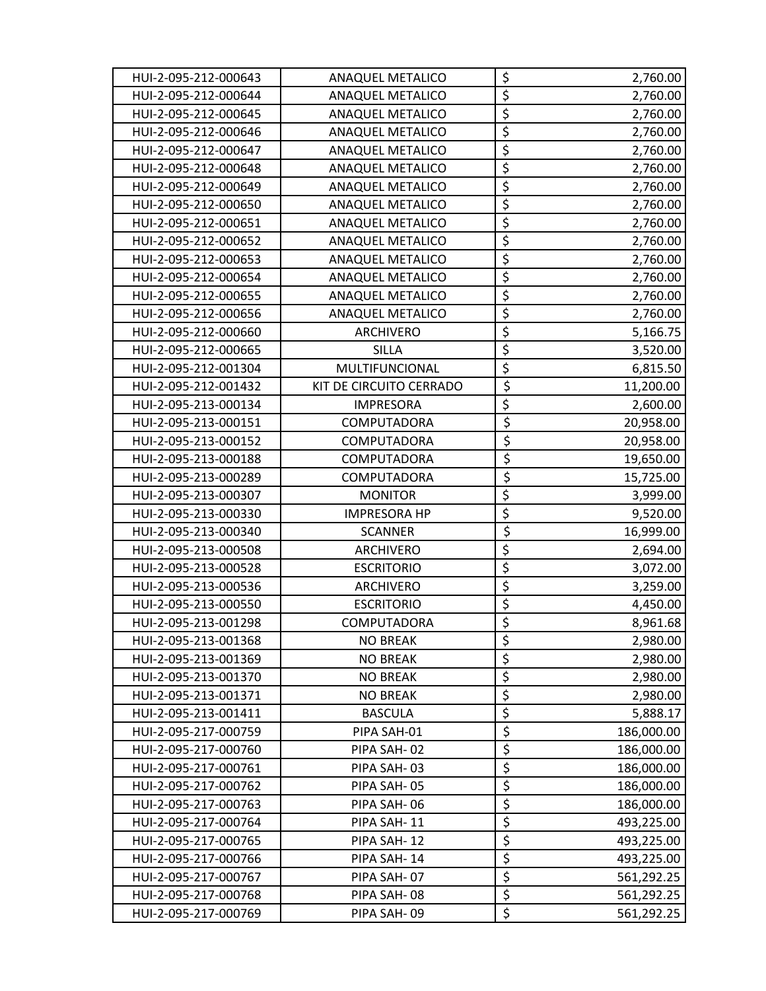| HUI-2-095-212-000643 | <b>ANAQUEL METALICO</b> | \$                              | 2,760.00   |
|----------------------|-------------------------|---------------------------------|------------|
| HUI-2-095-212-000644 | <b>ANAQUEL METALICO</b> | \$                              | 2,760.00   |
| HUI-2-095-212-000645 | ANAQUEL METALICO        | $\overline{\xi}$                | 2,760.00   |
| HUI-2-095-212-000646 | <b>ANAQUEL METALICO</b> | $\overline{\boldsymbol{\zeta}}$ | 2,760.00   |
| HUI-2-095-212-000647 | <b>ANAQUEL METALICO</b> | $\overline{\xi}$                | 2,760.00   |
| HUI-2-095-212-000648 | <b>ANAQUEL METALICO</b> | $\overline{\xi}$                | 2,760.00   |
| HUI-2-095-212-000649 | ANAQUEL METALICO        | \$                              | 2,760.00   |
| HUI-2-095-212-000650 | <b>ANAQUEL METALICO</b> | $\overline{\xi}$                | 2,760.00   |
| HUI-2-095-212-000651 | <b>ANAQUEL METALICO</b> | $\overline{\xi}$                | 2,760.00   |
| HUI-2-095-212-000652 | <b>ANAQUEL METALICO</b> | $\overline{\boldsymbol{\xi}}$   | 2,760.00   |
| HUI-2-095-212-000653 | <b>ANAQUEL METALICO</b> | $\overline{\boldsymbol{\zeta}}$ | 2,760.00   |
| HUI-2-095-212-000654 | ANAQUEL METALICO        | $\overline{\xi}$                | 2,760.00   |
| HUI-2-095-212-000655 | <b>ANAQUEL METALICO</b> | $\overline{\xi}$                | 2,760.00   |
| HUI-2-095-212-000656 | <b>ANAQUEL METALICO</b> | \$                              | 2,760.00   |
| HUI-2-095-212-000660 | ARCHIVERO               | $\overline{\xi}$                | 5,166.75   |
| HUI-2-095-212-000665 | SILLA                   | \$                              | 3,520.00   |
| HUI-2-095-212-001304 | MULTIFUNCIONAL          | $\overline{\xi}$                | 6,815.50   |
| HUI-2-095-212-001432 | KIT DE CIRCUITO CERRADO | $\overline{\xi}$                | 11,200.00  |
| HUI-2-095-213-000134 | <b>IMPRESORA</b>        | $\overline{\xi}$                | 2,600.00   |
| HUI-2-095-213-000151 | COMPUTADORA             | $\overline{\xi}$                | 20,958.00  |
| HUI-2-095-213-000152 | COMPUTADORA             | $\overline{\xi}$                | 20,958.00  |
| HUI-2-095-213-000188 | COMPUTADORA             | $\overline{\xi}$                | 19,650.00  |
| HUI-2-095-213-000289 | COMPUTADORA             | $\overline{\xi}$                | 15,725.00  |
| HUI-2-095-213-000307 | <b>MONITOR</b>          | \$                              | 3,999.00   |
| HUI-2-095-213-000330 | <b>IMPRESORA HP</b>     | $\overline{\xi}$                | 9,520.00   |
| HUI-2-095-213-000340 | <b>SCANNER</b>          | $\overline{\xi}$                | 16,999.00  |
| HUI-2-095-213-000508 | ARCHIVERO               | \$                              | 2,694.00   |
| HUI-2-095-213-000528 | <b>ESCRITORIO</b>       | \$                              | 3,072.00   |
| HUI-2-095-213-000536 | ARCHIVERO               | \$                              | 3,259.00   |
| HUI-2-095-213-000550 | <b>ESCRITORIO</b>       | $\overline{\boldsymbol{\zeta}}$ | 4,450.00   |
| HUI-2-095-213-001298 | <b>COMPUTADORA</b>      | $\overline{\xi}$                | 8,961.68   |
| HUI-2-095-213-001368 | <b>NO BREAK</b>         | \$                              | 2,980.00   |
| HUI-2-095-213-001369 | <b>NO BREAK</b>         | $\overline{\xi}$                | 2,980.00   |
| HUI-2-095-213-001370 | <b>NO BREAK</b>         | $\overline{\xi}$                | 2,980.00   |
| HUI-2-095-213-001371 | <b>NO BREAK</b>         | \$                              | 2,980.00   |
| HUI-2-095-213-001411 | <b>BASCULA</b>          | $\overline{\xi}$                | 5,888.17   |
| HUI-2-095-217-000759 | PIPA SAH-01             | $\overline{\xi}$                | 186,000.00 |
| HUI-2-095-217-000760 | PIPA SAH-02             | $\overline{\xi}$                | 186,000.00 |
| HUI-2-095-217-000761 | PIPA SAH-03             | $\overline{\boldsymbol{\zeta}}$ | 186,000.00 |
| HUI-2-095-217-000762 | PIPA SAH-05             | $\overline{\xi}$                | 186,000.00 |
| HUI-2-095-217-000763 | PIPA SAH-06             | $\overline{\xi}$                | 186,000.00 |
| HUI-2-095-217-000764 | PIPA SAH-11             | \$                              | 493,225.00 |
| HUI-2-095-217-000765 | PIPA SAH-12             | \$                              | 493,225.00 |
| HUI-2-095-217-000766 | PIPA SAH-14             | $\overline{\xi}$                | 493,225.00 |
| HUI-2-095-217-000767 | PIPA SAH-07             | $\overline{\xi}$                | 561,292.25 |
| HUI-2-095-217-000768 | PIPA SAH-08             | $\overline{\xi}$                | 561,292.25 |
| HUI-2-095-217-000769 | PIPA SAH-09             | $\overline{\xi}$                | 561,292.25 |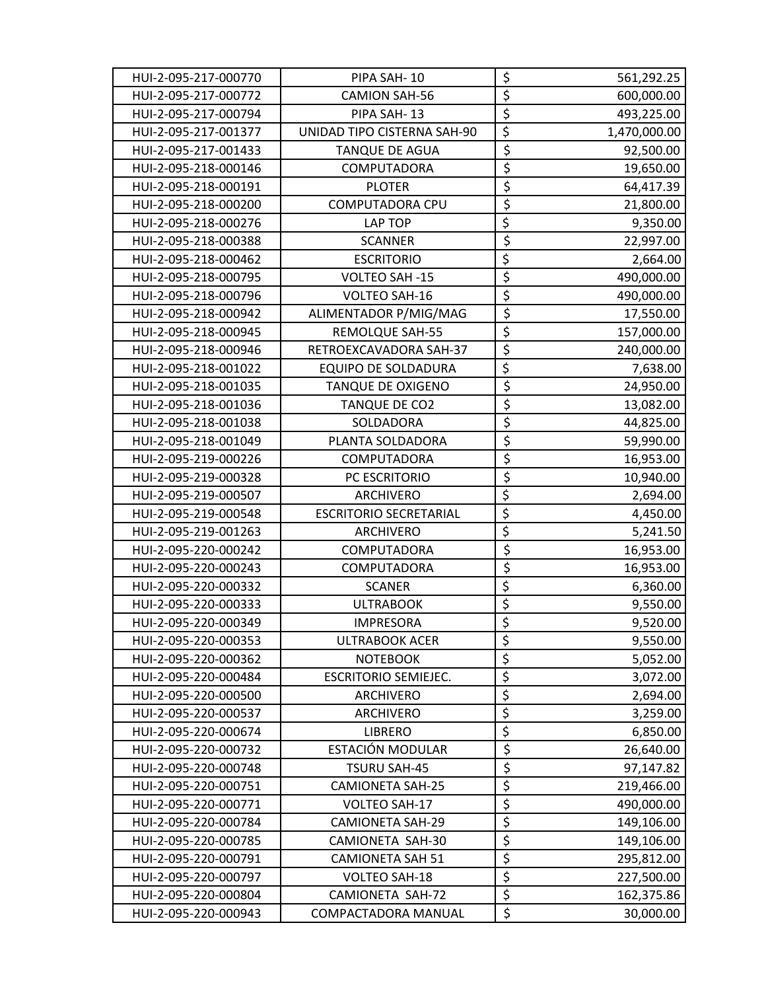| HUI-2-095-217-000770 | PIPA SAH-10                   | \$                              | 561,292.25   |
|----------------------|-------------------------------|---------------------------------|--------------|
| HUI-2-095-217-000772 | <b>CAMION SAH-56</b>          | $\overline{\boldsymbol{\zeta}}$ | 600,000.00   |
| HUI-2-095-217-000794 | PIPA SAH-13                   | $\overline{\xi}$                | 493,225.00   |
| HUI-2-095-217-001377 | UNIDAD TIPO CISTERNA SAH-90   | $\overline{\xi}$                | 1,470,000.00 |
| HUI-2-095-217-001433 | <b>TANQUE DE AGUA</b>         | \$                              | 92,500.00    |
| HUI-2-095-218-000146 | COMPUTADORA                   | \$                              | 19,650.00    |
| HUI-2-095-218-000191 | <b>PLOTER</b>                 | \$                              | 64,417.39    |
| HUI-2-095-218-000200 | COMPUTADORA CPU               | \$                              | 21,800.00    |
| HUI-2-095-218-000276 | LAP TOP                       | $\overline{\xi}$                | 9,350.00     |
| HUI-2-095-218-000388 | <b>SCANNER</b>                | \$                              | 22,997.00    |
| HUI-2-095-218-000462 | <b>ESCRITORIO</b>             | $\overline{\xi}$                | 2,664.00     |
| HUI-2-095-218-000795 | VOLTEO SAH -15                | \$                              | 490,000.00   |
| HUI-2-095-218-000796 | VOLTEO SAH-16                 | \$                              | 490,000.00   |
| HUI-2-095-218-000942 | ALIMENTADOR P/MIG/MAG         | \$                              | 17,550.00    |
| HUI-2-095-218-000945 | <b>REMOLQUE SAH-55</b>        | $\overline{\xi}$                | 157,000.00   |
| HUI-2-095-218-000946 | RETROEXCAVADORA SAH-37        | $\overline{\xi}$                | 240,000.00   |
| HUI-2-095-218-001022 | <b>EQUIPO DE SOLDADURA</b>    | $\overline{\xi}$                | 7,638.00     |
| HUI-2-095-218-001035 | TANQUE DE OXIGENO             | \$                              | 24,950.00    |
| HUI-2-095-218-001036 | TANQUE DE CO2                 | \$                              | 13,082.00    |
| HUI-2-095-218-001038 | SOLDADORA                     | \$                              | 44,825.00    |
| HUI-2-095-218-001049 | PLANTA SOLDADORA              | \$                              | 59,990.00    |
| HUI-2-095-219-000226 | COMPUTADORA                   | \$                              | 16,953.00    |
| HUI-2-095-219-000328 | PC ESCRITORIO                 | \$                              | 10,940.00    |
| HUI-2-095-219-000507 | ARCHIVERO                     | $\overline{\xi}$                | 2,694.00     |
| HUI-2-095-219-000548 | <b>ESCRITORIO SECRETARIAL</b> | $\overline{\xi}$                | 4,450.00     |
| HUI-2-095-219-001263 | ARCHIVERO                     | $\overline{\xi}$                | 5,241.50     |
| HUI-2-095-220-000242 | COMPUTADORA                   | \$                              | 16,953.00    |
| HUI-2-095-220-000243 | COMPUTADORA                   | \$                              | 16,953.00    |
| HUI-2-095-220-000332 | <b>SCANER</b>                 | $\overline{\xi}$                | 6,360.00     |
| HUI-2-095-220-000333 | <b>ULTRABOOK</b>              | $\overline{\boldsymbol{\zeta}}$ | 9,550.00     |
| HUI-2-095-220-000349 | <b>IMPRESORA</b>              | $\overline{\xi}$                | 9,520.00     |
| HUI-2-095-220-000353 | <b>ULTRABOOK ACER</b>         | \$                              | 9,550.00     |
| HUI-2-095-220-000362 | <b>NOTEBOOK</b>               | $\overline{\xi}$                | 5,052.00     |
| HUI-2-095-220-000484 | <b>ESCRITORIO SEMIEJEC.</b>   | $\overline{\xi}$                | 3,072.00     |
| HUI-2-095-220-000500 | <b>ARCHIVERO</b>              | $\overline{\xi}$                | 2,694.00     |
| HUI-2-095-220-000537 | <b>ARCHIVERO</b>              | $\overline{\xi}$                | 3,259.00     |
| HUI-2-095-220-000674 | <b>LIBRERO</b>                | $\overline{\boldsymbol{\zeta}}$ | 6,850.00     |
| HUI-2-095-220-000732 | ESTACIÓN MODULAR              | \$                              | 26,640.00    |
| HUI-2-095-220-000748 | <b>TSURU SAH-45</b>           | \$                              | 97,147.82    |
| HUI-2-095-220-000751 | <b>CAMIONETA SAH-25</b>       | \$                              | 219,466.00   |
| HUI-2-095-220-000771 | VOLTEO SAH-17                 | \$                              | 490,000.00   |
| HUI-2-095-220-000784 | <b>CAMIONETA SAH-29</b>       | \$                              | 149,106.00   |
| HUI-2-095-220-000785 | CAMIONETA SAH-30              | \$                              | 149,106.00   |
| HUI-2-095-220-000791 | <b>CAMIONETA SAH 51</b>       | \$                              | 295,812.00   |
| HUI-2-095-220-000797 | VOLTEO SAH-18                 | \$                              | 227,500.00   |
| HUI-2-095-220-000804 | <b>CAMIONETA SAH-72</b>       | \$                              | 162,375.86   |
| HUI-2-095-220-000943 | COMPACTADORA MANUAL           | \$                              | 30,000.00    |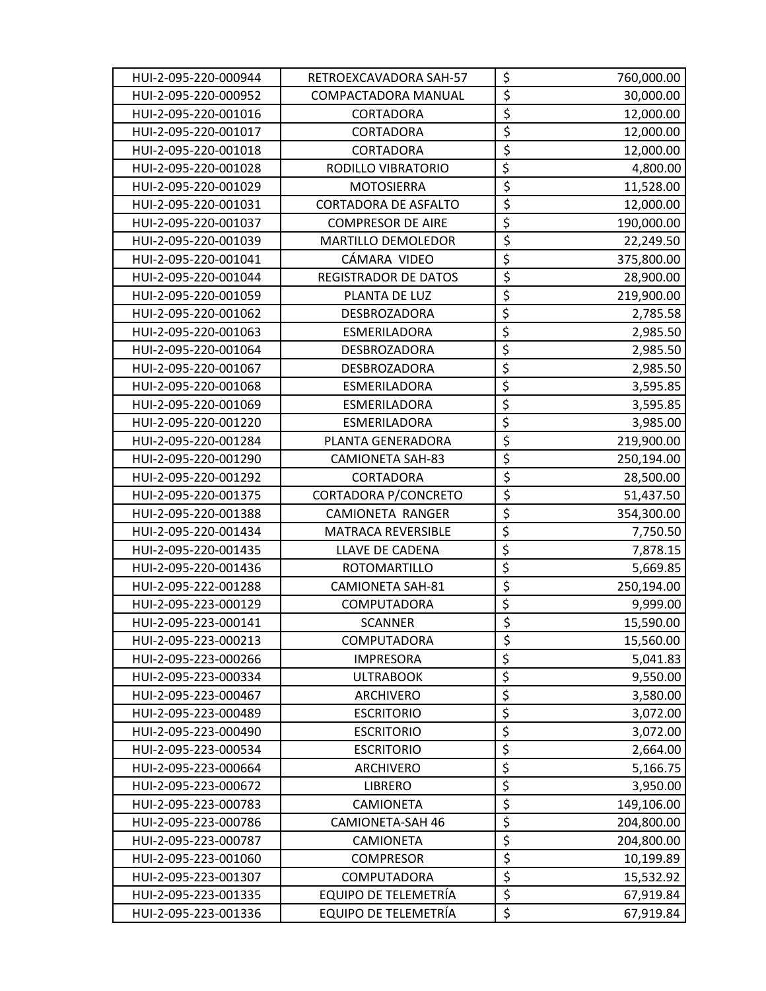| HUI-2-095-220-000944 | RETROEXCAVADORA SAH-57      | \$                              | 760,000.00 |
|----------------------|-----------------------------|---------------------------------|------------|
| HUI-2-095-220-000952 | COMPACTADORA MANUAL         | \$                              | 30,000.00  |
| HUI-2-095-220-001016 | <b>CORTADORA</b>            | $\overline{\xi}$                | 12,000.00  |
| HUI-2-095-220-001017 | CORTADORA                   | \$                              | 12,000.00  |
| HUI-2-095-220-001018 | <b>CORTADORA</b>            | \$                              | 12,000.00  |
| HUI-2-095-220-001028 | RODILLO VIBRATORIO          | $\overline{\xi}$                | 4,800.00   |
| HUI-2-095-220-001029 | <b>MOTOSIERRA</b>           | \$                              | 11,528.00  |
| HUI-2-095-220-001031 | <b>CORTADORA DE ASFALTO</b> | \$                              | 12,000.00  |
| HUI-2-095-220-001037 | <b>COMPRESOR DE AIRE</b>    | $\overline{\xi}$                | 190,000.00 |
| HUI-2-095-220-001039 | MARTILLO DEMOLEDOR          | \$                              | 22,249.50  |
| HUI-2-095-220-001041 | CÁMARA VIDEO                | \$                              | 375,800.00 |
| HUI-2-095-220-001044 | <b>REGISTRADOR DE DATOS</b> | \$                              | 28,900.00  |
| HUI-2-095-220-001059 | PLANTA DE LUZ               | \$                              | 219,900.00 |
| HUI-2-095-220-001062 | DESBROZADORA                | $\overline{\xi}$                | 2,785.58   |
| HUI-2-095-220-001063 | ESMERILADORA                | $\overline{\xi}$                | 2,985.50   |
| HUI-2-095-220-001064 | DESBROZADORA                | $\overline{\xi}$                | 2,985.50   |
| HUI-2-095-220-001067 | DESBROZADORA                | $\overline{\xi}$                | 2,985.50   |
| HUI-2-095-220-001068 | <b>ESMERILADORA</b>         | $\overline{\xi}$                | 3,595.85   |
| HUI-2-095-220-001069 | ESMERILADORA                | $\overline{\xi}$                | 3,595.85   |
| HUI-2-095-220-001220 | ESMERILADORA                | $\overline{\xi}$                | 3,985.00   |
| HUI-2-095-220-001284 | PLANTA GENERADORA           | \$                              | 219,900.00 |
| HUI-2-095-220-001290 | <b>CAMIONETA SAH-83</b>     | \$                              | 250,194.00 |
| HUI-2-095-220-001292 | CORTADORA                   | \$                              | 28,500.00  |
| HUI-2-095-220-001375 | <b>CORTADORA P/CONCRETO</b> | \$                              | 51,437.50  |
| HUI-2-095-220-001388 | CAMIONETA RANGER            | \$                              | 354,300.00 |
| HUI-2-095-220-001434 | MATRACA REVERSIBLE          | $\overline{\xi}$                | 7,750.50   |
| HUI-2-095-220-001435 | LLAVE DE CADENA             | $\overline{\xi}$                | 7,878.15   |
| HUI-2-095-220-001436 | <b>ROTOMARTILLO</b>         | $\overline{\xi}$                | 5,669.85   |
| HUI-2-095-222-001288 | <b>CAMIONETA SAH-81</b>     | \$                              | 250,194.00 |
| HUI-2-095-223-000129 | COMPUTADORA                 | $\overline{\boldsymbol{\zeta}}$ | 9,999.00   |
| HUI-2-095-223-000141 | <b>SCANNER</b>              | $\overline{\xi}$                | 15,590.00  |
| HUI-2-095-223-000213 | COMPUTADORA                 | \$                              | 15,560.00  |
| HUI-2-095-223-000266 | <b>IMPRESORA</b>            | $\overline{\xi}$                | 5,041.83   |
| HUI-2-095-223-000334 | <b>ULTRABOOK</b>            | $\overline{\xi}$                | 9,550.00   |
| HUI-2-095-223-000467 | <b>ARCHIVERO</b>            | $\overline{\xi}$                | 3,580.00   |
| HUI-2-095-223-000489 | <b>ESCRITORIO</b>           | $\overline{\xi}$                | 3,072.00   |
| HUI-2-095-223-000490 | <b>ESCRITORIO</b>           | $\overline{\boldsymbol{\zeta}}$ | 3,072.00   |
| HUI-2-095-223-000534 | <b>ESCRITORIO</b>           | $\overline{\xi}$                | 2,664.00   |
| HUI-2-095-223-000664 | <b>ARCHIVERO</b>            | $\overline{\xi}$                | 5,166.75   |
| HUI-2-095-223-000672 | <b>LIBRERO</b>              | $\overline{\xi}$                | 3,950.00   |
| HUI-2-095-223-000783 | CAMIONETA                   | \$                              | 149,106.00 |
| HUI-2-095-223-000786 | <b>CAMIONETA-SAH 46</b>     | \$                              | 204,800.00 |
| HUI-2-095-223-000787 | CAMIONETA                   | \$                              | 204,800.00 |
| HUI-2-095-223-001060 | <b>COMPRESOR</b>            | \$                              | 10,199.89  |
| HUI-2-095-223-001307 | COMPUTADORA                 | \$                              | 15,532.92  |
| HUI-2-095-223-001335 | EQUIPO DE TELEMETRÍA        | \$                              | 67,919.84  |
| HUI-2-095-223-001336 | EQUIPO DE TELEMETRÍA        | \$                              | 67,919.84  |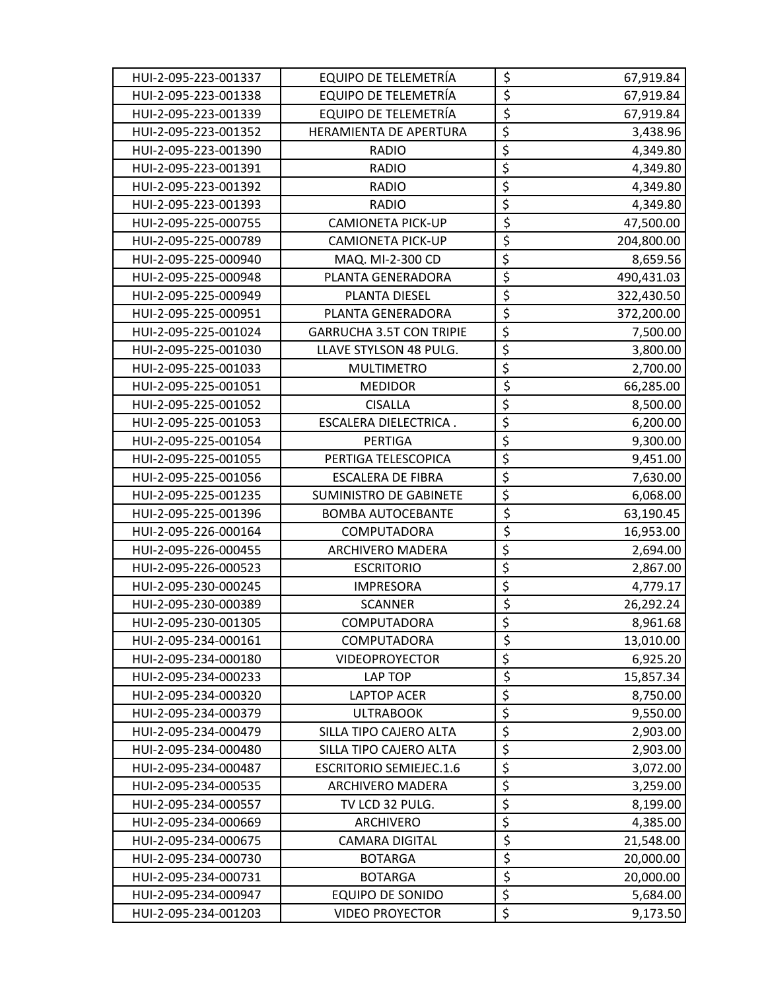| HUI-2-095-223-001337 | EQUIPO DE TELEMETRÍA            | \$                              | 67,919.84  |
|----------------------|---------------------------------|---------------------------------|------------|
| HUI-2-095-223-001338 | EQUIPO DE TELEMETRÍA            | \$                              | 67,919.84  |
| HUI-2-095-223-001339 | EQUIPO DE TELEMETRÍA            | \$                              | 67,919.84  |
| HUI-2-095-223-001352 | HERAMIENTA DE APERTURA          | $\overline{\xi}$                | 3,438.96   |
| HUI-2-095-223-001390 | <b>RADIO</b>                    | $\overline{\xi}$                | 4,349.80   |
| HUI-2-095-223-001391 | <b>RADIO</b>                    | $\overline{\xi}$                | 4,349.80   |
| HUI-2-095-223-001392 | <b>RADIO</b>                    | $\overline{\xi}$                | 4,349.80   |
| HUI-2-095-223-001393 | <b>RADIO</b>                    | $\overline{\xi}$                | 4,349.80   |
| HUI-2-095-225-000755 | <b>CAMIONETA PICK-UP</b>        | \$                              | 47,500.00  |
| HUI-2-095-225-000789 | <b>CAMIONETA PICK-UP</b>        | \$                              | 204,800.00 |
| HUI-2-095-225-000940 | MAQ. MI-2-300 CD                | $\overline{\xi}$                | 8,659.56   |
| HUI-2-095-225-000948 | PLANTA GENERADORA               | $\overline{\xi}$                | 490,431.03 |
| HUI-2-095-225-000949 | PLANTA DIESEL                   | \$                              | 322,430.50 |
| HUI-2-095-225-000951 | PLANTA GENERADORA               | $\overline{\xi}$                | 372,200.00 |
| HUI-2-095-225-001024 | <b>GARRUCHA 3.5T CON TRIPIE</b> | $\overline{\xi}$                | 7,500.00   |
| HUI-2-095-225-001030 | LLAVE STYLSON 48 PULG.          | $\overline{\xi}$                | 3,800.00   |
| HUI-2-095-225-001033 | <b>MULTIMETRO</b>               | $\overline{\xi}$                | 2,700.00   |
| HUI-2-095-225-001051 | <b>MEDIDOR</b>                  | $\overline{\boldsymbol{\zeta}}$ | 66,285.00  |
| HUI-2-095-225-001052 | <b>CISALLA</b>                  | $\overline{\xi}$                | 8,500.00   |
| HUI-2-095-225-001053 | ESCALERA DIELECTRICA.           | $\overline{\xi}$                | 6,200.00   |
| HUI-2-095-225-001054 | PERTIGA                         | $\overline{\xi}$                | 9,300.00   |
| HUI-2-095-225-001055 | PERTIGA TELESCOPICA             | $\overline{\xi}$                | 9,451.00   |
| HUI-2-095-225-001056 | <b>ESCALERA DE FIBRA</b>        | $\overline{\xi}$                | 7,630.00   |
| HUI-2-095-225-001235 | SUMINISTRO DE GABINETE          | $\overline{\xi}$                | 6,068.00   |
| HUI-2-095-225-001396 | <b>BOMBA AUTOCEBANTE</b>        | \$                              | 63,190.45  |
| HUI-2-095-226-000164 | COMPUTADORA                     | \$                              | 16,953.00  |
| HUI-2-095-226-000455 | <b>ARCHIVERO MADERA</b>         | $\overline{\xi}$                | 2,694.00   |
| HUI-2-095-226-000523 | <b>ESCRITORIO</b>               | \$                              | 2,867.00   |
| HUI-2-095-230-000245 | <b>IMPRESORA</b>                | $\overline{\xi}$                | 4,779.17   |
| HUI-2-095-230-000389 | <b>SCANNER</b>                  | \$                              | 26,292.24  |
| HUI-2-095-230-001305 | COMPUTADORA                     | $\overline{\xi}$                | 8,961.68   |
| HUI-2-095-234-000161 | <b>COMPUTADORA</b>              | \$                              | 13,010.00  |
| HUI-2-095-234-000180 | <b>VIDEOPROYECTOR</b>           | \$                              | 6,925.20   |
| HUI-2-095-234-000233 | LAP TOP                         | \$                              | 15,857.34  |
| HUI-2-095-234-000320 | <b>LAPTOP ACER</b>              | \$                              | 8,750.00   |
| HUI-2-095-234-000379 | <b>ULTRABOOK</b>                | $\overline{\xi}$                | 9,550.00   |
| HUI-2-095-234-000479 | SILLA TIPO CAJERO ALTA          | \$                              | 2,903.00   |
| HUI-2-095-234-000480 | SILLA TIPO CAJERO ALTA          | $\overline{\xi}$                | 2,903.00   |
| HUI-2-095-234-000487 | <b>ESCRITORIO SEMIEJEC.1.6</b>  | \$                              | 3,072.00   |
| HUI-2-095-234-000535 | <b>ARCHIVERO MADERA</b>         | $\overline{\xi}$                | 3,259.00   |
| HUI-2-095-234-000557 | TV LCD 32 PULG.                 | $\overline{\xi}$                | 8,199.00   |
| HUI-2-095-234-000669 | ARCHIVERO                       | \$                              | 4,385.00   |
| HUI-2-095-234-000675 | <b>CAMARA DIGITAL</b>           | $\overline{\boldsymbol{\zeta}}$ | 21,548.00  |
| HUI-2-095-234-000730 | <b>BOTARGA</b>                  | $\overline{\boldsymbol{\zeta}}$ | 20,000.00  |
| HUI-2-095-234-000731 | <b>BOTARGA</b>                  | \$                              | 20,000.00  |
| HUI-2-095-234-000947 | <b>EQUIPO DE SONIDO</b>         | $\overline{\xi}$                | 5,684.00   |
| HUI-2-095-234-001203 | <b>VIDEO PROYECTOR</b>          | $\overline{\xi}$                | 9,173.50   |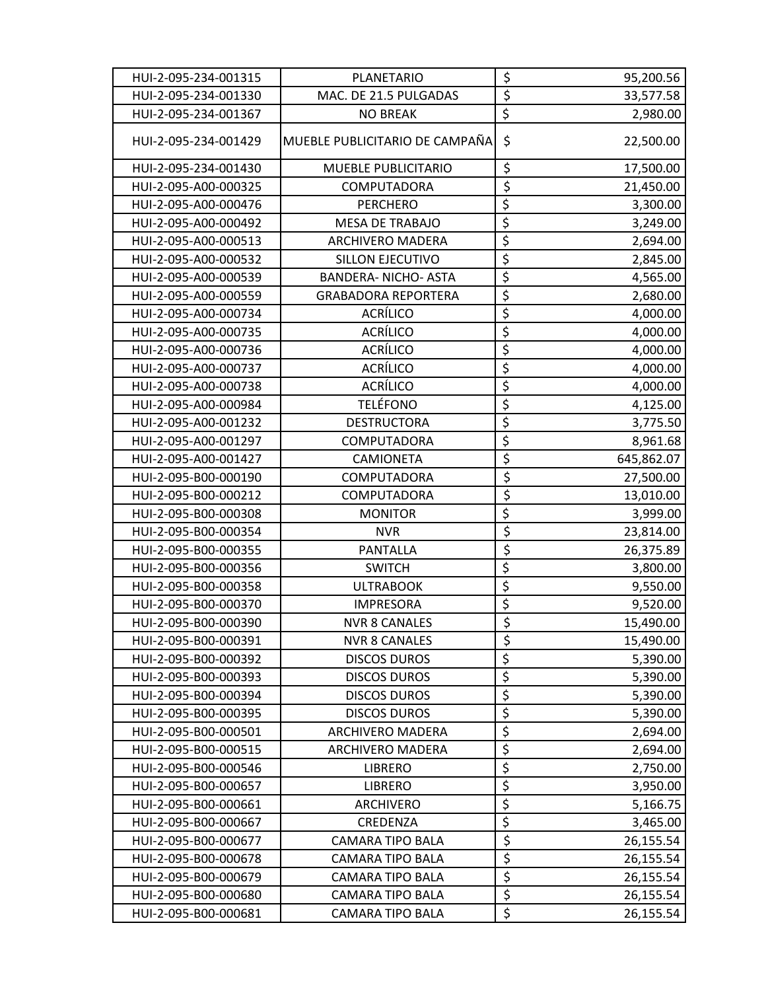| HUI-2-095-234-001315 | PLANETARIO                     | \$                              | 95,200.56  |
|----------------------|--------------------------------|---------------------------------|------------|
| HUI-2-095-234-001330 | MAC. DE 21.5 PULGADAS          | $\overline{\boldsymbol{\zeta}}$ | 33,577.58  |
| HUI-2-095-234-001367 | <b>NO BREAK</b>                | $\overline{\xi}$                | 2,980.00   |
| HUI-2-095-234-001429 | MUEBLE PUBLICITARIO DE CAMPAÑA | $\zeta$                         | 22,500.00  |
| HUI-2-095-234-001430 | MUEBLE PUBLICITARIO            | \$                              | 17,500.00  |
| HUI-2-095-A00-000325 | COMPUTADORA                    | $\overline{\xi}$                | 21,450.00  |
| HUI-2-095-A00-000476 | <b>PERCHERO</b>                | $\overline{\xi}$                | 3,300.00   |
| HUI-2-095-A00-000492 | <b>MESA DE TRABAJO</b>         | \$                              | 3,249.00   |
| HUI-2-095-A00-000513 | <b>ARCHIVERO MADERA</b>        | $\overline{\xi}$                | 2,694.00   |
| HUI-2-095-A00-000532 | <b>SILLON EJECUTIVO</b>        | \$                              | 2,845.00   |
| HUI-2-095-A00-000539 | <b>BANDERA-NICHO-ASTA</b>      | $\overline{\xi}$                | 4,565.00   |
| HUI-2-095-A00-000559 | <b>GRABADORA REPORTERA</b>     | $\overline{\xi}$                | 2,680.00   |
| HUI-2-095-A00-000734 | <b>ACRÍLICO</b>                | \$                              | 4,000.00   |
| HUI-2-095-A00-000735 | <b>ACRÍLICO</b>                | $\overline{\boldsymbol{\zeta}}$ | 4,000.00   |
| HUI-2-095-A00-000736 | <b>ACRÍLICO</b>                | \$                              | 4,000.00   |
| HUI-2-095-A00-000737 | <b>ACRÍLICO</b>                | $\overline{\xi}$                | 4,000.00   |
| HUI-2-095-A00-000738 | <b>ACRÍLICO</b>                | \$                              | 4,000.00   |
| HUI-2-095-A00-000984 | <b>TELÉFONO</b>                | $\overline{\boldsymbol{\xi}}$   | 4,125.00   |
| HUI-2-095-A00-001232 | <b>DESTRUCTORA</b>             | $\overline{\boldsymbol{\zeta}}$ | 3,775.50   |
| HUI-2-095-A00-001297 | COMPUTADORA                    | $\overline{\xi}$                | 8,961.68   |
| HUI-2-095-A00-001427 | <b>CAMIONETA</b>               | \$                              | 645,862.07 |
| HUI-2-095-B00-000190 | COMPUTADORA                    | \$                              | 27,500.00  |
| HUI-2-095-B00-000212 | COMPUTADORA                    | $\overline{\xi}$                | 13,010.00  |
| HUI-2-095-B00-000308 | <b>MONITOR</b>                 | $\overline{\xi}$                | 3,999.00   |
| HUI-2-095-B00-000354 | <b>NVR</b>                     | $\overline{\xi}$                | 23,814.00  |
| HUI-2-095-B00-000355 | PANTALLA                       | $\overline{\xi}$                | 26,375.89  |
| HUI-2-095-B00-000356 | <b>SWITCH</b>                  | \$                              | 3,800.00   |
| HUI-2-095-B00-000358 | <b>ULTRABOOK</b>               | $\overline{\xi}$                | 9,550.00   |
| HUI-2-095-B00-000370 | <b>IMPRESORA</b>               | $\overline{\xi}$                | 9,520.00   |
| HUI-2-095-B00-000390 | <b>NVR 8 CANALES</b>           | $\overline{\mathsf{S}}$         | 15,490.00  |
| HUI-2-095-B00-000391 | <b>NVR 8 CANALES</b>           | \$                              | 15,490.00  |
| HUI-2-095-B00-000392 | <b>DISCOS DUROS</b>            | $\overline{\mathcal{L}}$        | 5,390.00   |
| HUI-2-095-B00-000393 | <b>DISCOS DUROS</b>            | $\overline{\mathcal{L}}$        | 5,390.00   |
| HUI-2-095-B00-000394 | <b>DISCOS DUROS</b>            | \$                              | 5,390.00   |
| HUI-2-095-B00-000395 | <b>DISCOS DUROS</b>            | $\overline{\xi}$                | 5,390.00   |
| HUI-2-095-B00-000501 | <b>ARCHIVERO MADERA</b>        | \$                              | 2,694.00   |
| HUI-2-095-B00-000515 | <b>ARCHIVERO MADERA</b>        | $\overline{\boldsymbol{\zeta}}$ | 2,694.00   |
| HUI-2-095-B00-000546 | <b>LIBRERO</b>                 | $\overline{\xi}$                | 2,750.00   |
| HUI-2-095-B00-000657 | <b>LIBRERO</b>                 | $\overline{\xi}$                | 3,950.00   |
| HUI-2-095-B00-000661 | ARCHIVERO                      | $\overline{\xi}$                | 5,166.75   |
| HUI-2-095-B00-000667 | CREDENZA                       | \$                              | 3,465.00   |
| HUI-2-095-B00-000677 | <b>CAMARA TIPO BALA</b>        | $\overline{\xi}$                | 26,155.54  |
| HUI-2-095-B00-000678 | <b>CAMARA TIPO BALA</b>        | \$                              | 26,155.54  |
| HUI-2-095-B00-000679 | <b>CAMARA TIPO BALA</b>        | \$                              | 26,155.54  |
| HUI-2-095-B00-000680 | <b>CAMARA TIPO BALA</b>        | $\overline{\xi}$                | 26,155.54  |
| HUI-2-095-B00-000681 | CAMARA TIPO BALA               | \$                              | 26,155.54  |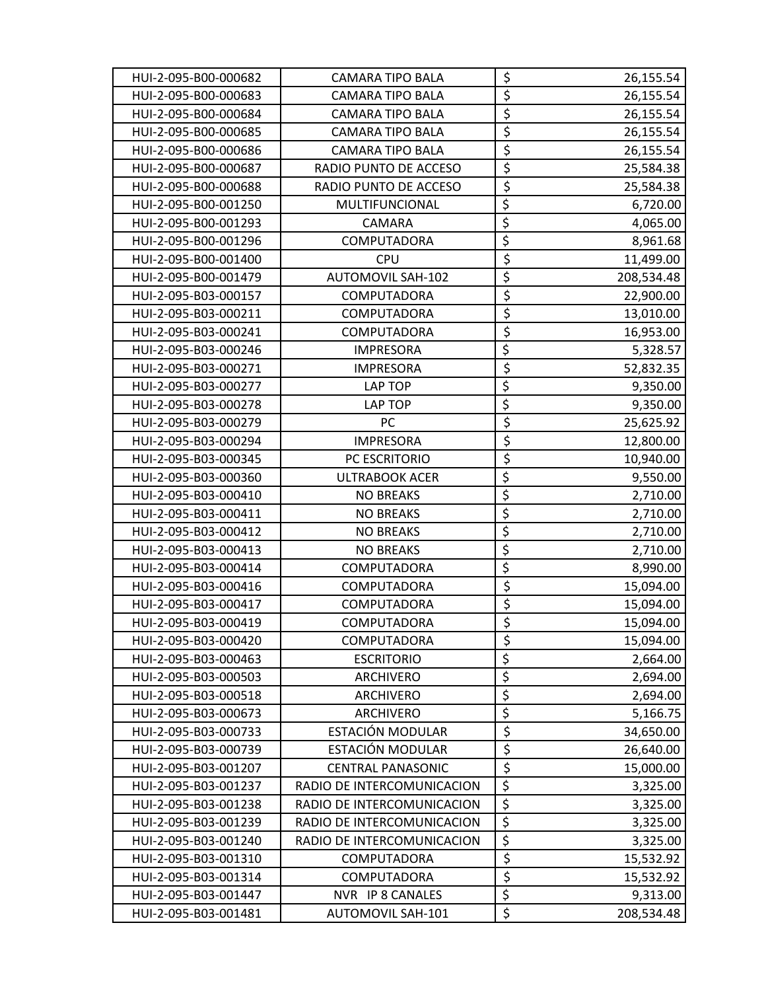| HUI-2-095-B00-000682 | <b>CAMARA TIPO BALA</b>    | \$                              | 26,155.54  |
|----------------------|----------------------------|---------------------------------|------------|
| HUI-2-095-B00-000683 | <b>CAMARA TIPO BALA</b>    | $\overline{\xi}$                | 26,155.54  |
| HUI-2-095-B00-000684 | <b>CAMARA TIPO BALA</b>    | $\overline{\xi}$                | 26,155.54  |
| HUI-2-095-B00-000685 | <b>CAMARA TIPO BALA</b>    | $\overline{\xi}$                | 26,155.54  |
| HUI-2-095-B00-000686 | CAMARA TIPO BALA           | $\overline{\xi}$                | 26,155.54  |
| HUI-2-095-B00-000687 | RADIO PUNTO DE ACCESO      | $\overline{\boldsymbol{\zeta}}$ | 25,584.38  |
| HUI-2-095-B00-000688 | RADIO PUNTO DE ACCESO      | \$                              | 25,584.38  |
| HUI-2-095-B00-001250 | MULTIFUNCIONAL             | \$                              | 6,720.00   |
| HUI-2-095-B00-001293 | CAMARA                     | $\overline{\xi}$                | 4,065.00   |
| HUI-2-095-B00-001296 | COMPUTADORA                | $\overline{\xi}$                | 8,961.68   |
| HUI-2-095-B00-001400 | <b>CPU</b>                 | \$                              | 11,499.00  |
| HUI-2-095-B00-001479 | <b>AUTOMOVIL SAH-102</b>   | $\overline{\boldsymbol{\zeta}}$ | 208,534.48 |
| HUI-2-095-B03-000157 | COMPUTADORA                | \$                              | 22,900.00  |
| HUI-2-095-B03-000211 | <b>COMPUTADORA</b>         | $\overline{\xi}$                | 13,010.00  |
| HUI-2-095-B03-000241 | COMPUTADORA                | $\overline{\xi}$                | 16,953.00  |
| HUI-2-095-B03-000246 | <b>IMPRESORA</b>           | \$                              | 5,328.57   |
| HUI-2-095-B03-000271 | <b>IMPRESORA</b>           | $\overline{\xi}$                | 52,832.35  |
| HUI-2-095-B03-000277 | LAP TOP                    | $\overline{\xi}$                | 9,350.00   |
| HUI-2-095-B03-000278 | LAP TOP                    | $\overline{\xi}$                | 9,350.00   |
| HUI-2-095-B03-000279 | PC                         | \$                              | 25,625.92  |
| HUI-2-095-B03-000294 | <b>IMPRESORA</b>           | \$                              | 12,800.00  |
| HUI-2-095-B03-000345 | PC ESCRITORIO              | $\overline{\xi}$                | 10,940.00  |
| HUI-2-095-B03-000360 | <b>ULTRABOOK ACER</b>      | \$                              | 9,550.00   |
| HUI-2-095-B03-000410 | <b>NO BREAKS</b>           | $\overline{\xi}$                | 2,710.00   |
| HUI-2-095-B03-000411 | <b>NO BREAKS</b>           | $\overline{\xi}$                | 2,710.00   |
| HUI-2-095-B03-000412 | <b>NO BREAKS</b>           | $\overline{\xi}$                | 2,710.00   |
| HUI-2-095-B03-000413 | <b>NO BREAKS</b>           | \$                              | 2,710.00   |
| HUI-2-095-B03-000414 | COMPUTADORA                | \$                              | 8,990.00   |
| HUI-2-095-B03-000416 | COMPUTADORA                | $\overline{\xi}$                | 15,094.00  |
| HUI-2-095-B03-000417 | COMPUTADORA                | \$                              | 15,094.00  |
| HUI-2-095-B03-000419 | COMPUTADORA                | $\overline{\xi}$                | 15,094.00  |
| HUI-2-095-B03-000420 | COMPUTADORA                | \$                              | 15,094.00  |
| HUI-2-095-B03-000463 | <b>ESCRITORIO</b>          | \$                              | 2,664.00   |
| HUI-2-095-B03-000503 | ARCHIVERO                  | $\overline{\boldsymbol{\zeta}}$ | 2,694.00   |
| HUI-2-095-B03-000518 | ARCHIVERO                  | $\overline{\xi}$                | 2,694.00   |
| HUI-2-095-B03-000673 | ARCHIVERO                  | $\overline{\xi}$                | 5,166.75   |
| HUI-2-095-B03-000733 | ESTACIÓN MODULAR           | \$                              | 34,650.00  |
| HUI-2-095-B03-000739 | ESTACIÓN MODULAR           | \$                              | 26,640.00  |
| HUI-2-095-B03-001207 | <b>CENTRAL PANASONIC</b>   | $\overline{\xi}$                | 15,000.00  |
| HUI-2-095-B03-001237 | RADIO DE INTERCOMUNICACION | $\overline{\xi}$                | 3,325.00   |
| HUI-2-095-B03-001238 | RADIO DE INTERCOMUNICACION | $\overline{\xi}$                | 3,325.00   |
| HUI-2-095-B03-001239 | RADIO DE INTERCOMUNICACION | \$                              | 3,325.00   |
| HUI-2-095-B03-001240 | RADIO DE INTERCOMUNICACION | $\overline{\xi}$                | 3,325.00   |
| HUI-2-095-B03-001310 | COMPUTADORA                | $\overline{\xi}$                | 15,532.92  |
| HUI-2-095-B03-001314 | COMPUTADORA                | $\overline{\xi}$                | 15,532.92  |
| HUI-2-095-B03-001447 | NVR IP 8 CANALES           | $\overline{\xi}$                | 9,313.00   |
| HUI-2-095-B03-001481 | AUTOMOVIL SAH-101          | $\overline{\xi}$                | 208,534.48 |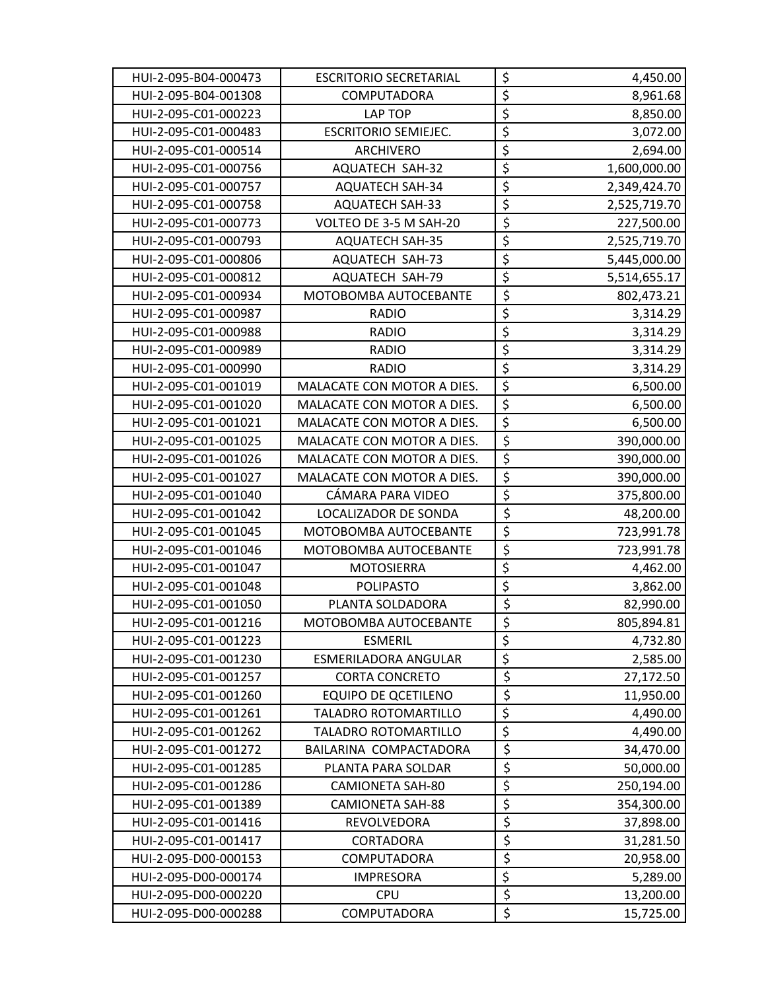| HUI-2-095-B04-000473 | <b>ESCRITORIO SECRETARIAL</b> | \$                              | 4,450.00     |
|----------------------|-------------------------------|---------------------------------|--------------|
| HUI-2-095-B04-001308 | COMPUTADORA                   | $\overline{\xi}$                | 8,961.68     |
| HUI-2-095-C01-000223 | LAP TOP                       | $\overline{\xi}$                | 8,850.00     |
| HUI-2-095-C01-000483 | <b>ESCRITORIO SEMIEJEC.</b>   | $\overline{\xi}$                | 3,072.00     |
| HUI-2-095-C01-000514 | <b>ARCHIVERO</b>              | $\overline{\xi}$                | 2,694.00     |
| HUI-2-095-C01-000756 | <b>AQUATECH SAH-32</b>        | $\overline{\xi}$                | 1,600,000.00 |
| HUI-2-095-C01-000757 | <b>AQUATECH SAH-34</b>        | \$                              | 2,349,424.70 |
| HUI-2-095-C01-000758 | <b>AQUATECH SAH-33</b>        | $\overline{\xi}$                | 2,525,719.70 |
| HUI-2-095-C01-000773 | VOLTEO DE 3-5 M SAH-20        | \$                              | 227,500.00   |
| HUI-2-095-C01-000793 | <b>AQUATECH SAH-35</b>        | \$                              | 2,525,719.70 |
| HUI-2-095-C01-000806 | <b>AQUATECH SAH-73</b>        | $\overline{\xi}$                | 5,445,000.00 |
| HUI-2-095-C01-000812 | <b>AQUATECH SAH-79</b>        | \$                              | 5,514,655.17 |
| HUI-2-095-C01-000934 | MOTOBOMBA AUTOCEBANTE         | $\overline{\xi}$                | 802,473.21   |
| HUI-2-095-C01-000987 | <b>RADIO</b>                  | $\overline{\boldsymbol{\zeta}}$ | 3,314.29     |
| HUI-2-095-C01-000988 | <b>RADIO</b>                  | $\overline{\xi}$                | 3,314.29     |
| HUI-2-095-C01-000989 | <b>RADIO</b>                  | $\overline{\xi}$                | 3,314.29     |
| HUI-2-095-C01-000990 | <b>RADIO</b>                  | $\overline{\xi}$                | 3,314.29     |
| HUI-2-095-C01-001019 | MALACATE CON MOTOR A DIES.    | $\overline{\xi}$                | 6,500.00     |
| HUI-2-095-C01-001020 | MALACATE CON MOTOR A DIES.    | $\overline{\xi}$                | 6,500.00     |
| HUI-2-095-C01-001021 | MALACATE CON MOTOR A DIES.    | $\overline{\xi}$                | 6,500.00     |
| HUI-2-095-C01-001025 | MALACATE CON MOTOR A DIES.    | $\overline{\boldsymbol{\zeta}}$ | 390,000.00   |
| HUI-2-095-C01-001026 | MALACATE CON MOTOR A DIES.    | $\overline{\xi}$                | 390,000.00   |
| HUI-2-095-C01-001027 | MALACATE CON MOTOR A DIES.    | \$                              | 390,000.00   |
| HUI-2-095-C01-001040 | CÁMARA PARA VIDEO             | $\overline{\xi}$                | 375,800.00   |
| HUI-2-095-C01-001042 | LOCALIZADOR DE SONDA          | \$                              | 48,200.00    |
| HUI-2-095-C01-001045 | MOTOBOMBA AUTOCEBANTE         | \$                              | 723,991.78   |
| HUI-2-095-C01-001046 | MOTOBOMBA AUTOCEBANTE         | $\overline{\xi}$                | 723,991.78   |
| HUI-2-095-C01-001047 | <b>MOTOSIERRA</b>             | $\overline{\xi}$                | 4,462.00     |
| HUI-2-095-C01-001048 | <b>POLIPASTO</b>              | $\overline{\xi}$                | 3,862.00     |
| HUI-2-095-C01-001050 | PLANTA SOLDADORA              | \$                              | 82,990.00    |
| HUI-2-095-C01-001216 | MOTOBOMBA AUTOCEBANTE         | $\overline{\xi}$                | 805,894.81   |
| HUI-2-095-C01-001223 | <b>ESMERIL</b>                | \$                              | 4,732.80     |
| HUI-2-095-C01-001230 | ESMERILADORA ANGULAR          | $\overline{\xi}$                | 2,585.00     |
| HUI-2-095-C01-001257 | <b>CORTA CONCRETO</b>         | \$                              | 27,172.50    |
| HUI-2-095-C01-001260 | <b>EQUIPO DE QCETILENO</b>    | \$                              | 11,950.00    |
| HUI-2-095-C01-001261 | <b>TALADRO ROTOMARTILLO</b>   | $\overline{\xi}$                | 4,490.00     |
| HUI-2-095-C01-001262 | TALADRO ROTOMARTILLO          | \$                              | 4,490.00     |
| HUI-2-095-C01-001272 | BAILARINA COMPACTADORA        | \$                              | 34,470.00    |
| HUI-2-095-C01-001285 | PLANTA PARA SOLDAR            | \$                              | 50,000.00    |
| HUI-2-095-C01-001286 | <b>CAMIONETA SAH-80</b>       | \$                              | 250,194.00   |
| HUI-2-095-C01-001389 | CAMIONETA SAH-88              | \$                              | 354,300.00   |
| HUI-2-095-C01-001416 | REVOLVEDORA                   | \$                              | 37,898.00    |
| HUI-2-095-C01-001417 | CORTADORA                     | \$                              | 31,281.50    |
| HUI-2-095-D00-000153 | COMPUTADORA                   | $\overline{\xi}$                | 20,958.00    |
| HUI-2-095-D00-000174 | <b>IMPRESORA</b>              | $\overline{\xi}$                | 5,289.00     |
| HUI-2-095-D00-000220 | <b>CPU</b>                    | \$                              | 13,200.00    |
| HUI-2-095-D00-000288 | COMPUTADORA                   | \$                              | 15,725.00    |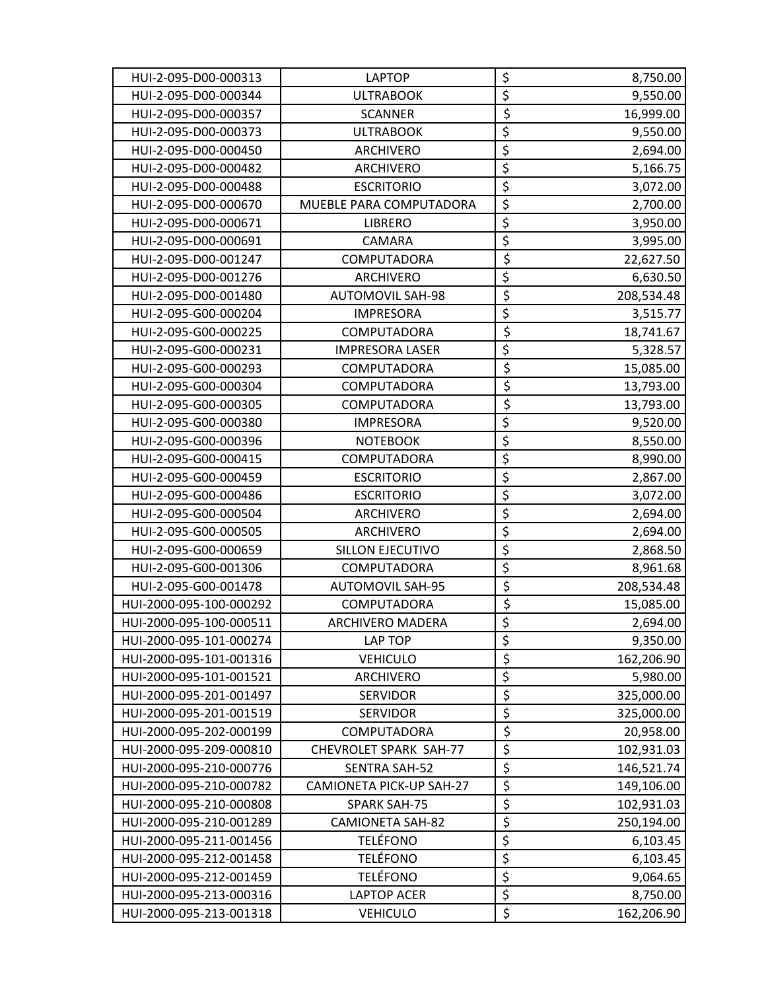| HUI-2-095-D00-000313    | <b>LAPTOP</b>            | \$                              | 8,750.00   |
|-------------------------|--------------------------|---------------------------------|------------|
| HUI-2-095-D00-000344    | <b>ULTRABOOK</b>         | $\overline{\xi}$                | 9,550.00   |
| HUI-2-095-D00-000357    | <b>SCANNER</b>           | $\overline{\xi}$                | 16,999.00  |
| HUI-2-095-D00-000373    | <b>ULTRABOOK</b>         | $\overline{\xi}$                | 9,550.00   |
| HUI-2-095-D00-000450    | <b>ARCHIVERO</b>         | $\overline{\xi}$                | 2,694.00   |
| HUI-2-095-D00-000482    | ARCHIVERO                | $\overline{\xi}$                | 5,166.75   |
| HUI-2-095-D00-000488    | <b>ESCRITORIO</b>        | $\overline{\boldsymbol{\zeta}}$ | 3,072.00   |
| HUI-2-095-D00-000670    | MUEBLE PARA COMPUTADORA  | $\overline{\xi}$                | 2,700.00   |
| HUI-2-095-D00-000671    | <b>LIBRERO</b>           | $\overline{\xi}$                | 3,950.00   |
| HUI-2-095-D00-000691    | CAMARA                   | $\overline{\xi}$                | 3,995.00   |
| HUI-2-095-D00-001247    | COMPUTADORA              | \$                              | 22,627.50  |
| HUI-2-095-D00-001276    | <b>ARCHIVERO</b>         | $\overline{\xi}$                | 6,630.50   |
| HUI-2-095-D00-001480    | <b>AUTOMOVIL SAH-98</b>  | \$                              | 208,534.48 |
| HUI-2-095-G00-000204    | <b>IMPRESORA</b>         | $\overline{\xi}$                | 3,515.77   |
| HUI-2-095-G00-000225    | COMPUTADORA              | $\overline{\xi}$                | 18,741.67  |
| HUI-2-095-G00-000231    | <b>IMPRESORA LASER</b>   | $\overline{\boldsymbol{\zeta}}$ | 5,328.57   |
| HUI-2-095-G00-000293    | COMPUTADORA              | \$                              | 15,085.00  |
| HUI-2-095-G00-000304    | COMPUTADORA              | $\overline{\xi}$                | 13,793.00  |
| HUI-2-095-G00-000305    | COMPUTADORA              | \$                              | 13,793.00  |
| HUI-2-095-G00-000380    | <b>IMPRESORA</b>         | $\overline{\xi}$                | 9,520.00   |
| HUI-2-095-G00-000396    | <b>NOTEBOOK</b>          | $\overline{\xi}$                | 8,550.00   |
| HUI-2-095-G00-000415    | COMPUTADORA              | $\overline{\xi}$                | 8,990.00   |
| HUI-2-095-G00-000459    | <b>ESCRITORIO</b>        | $\overline{\xi}$                | 2,867.00   |
| HUI-2-095-G00-000486    | <b>ESCRITORIO</b>        | \$                              | 3,072.00   |
| HUI-2-095-G00-000504    | ARCHIVERO                | $\overline{\xi}$                | 2,694.00   |
| HUI-2-095-G00-000505    | ARCHIVERO                | $\overline{\boldsymbol{\zeta}}$ | 2,694.00   |
| HUI-2-095-G00-000659    | <b>SILLON EJECUTIVO</b>  | $\overline{\xi}$                | 2,868.50   |
| HUI-2-095-G00-001306    | COMPUTADORA              | $\overline{\xi}$                | 8,961.68   |
| HUI-2-095-G00-001478    | <b>AUTOMOVIL SAH-95</b>  | \$                              | 208,534.48 |
| HUI-2000-095-100-000292 | COMPUTADORA              | \$                              | 15,085.00  |
| HUI-2000-095-100-000511 | <b>ARCHIVERO MADERA</b>  | $\overline{\xi}$                | 2,694.00   |
| HUI-2000-095-101-000274 | <b>LAP TOP</b>           | \$                              | 9,350.00   |
| HUI-2000-095-101-001316 | <b>VEHICULO</b>          | \$                              | 162,206.90 |
| HUI-2000-095-101-001521 | <b>ARCHIVERO</b>         | $\overline{\xi}$                | 5,980.00   |
| HUI-2000-095-201-001497 | <b>SERVIDOR</b>          | \$                              | 325,000.00 |
| HUI-2000-095-201-001519 | <b>SERVIDOR</b>          | $\overline{\xi}$                | 325,000.00 |
| HUI-2000-095-202-000199 | COMPUTADORA              | $\overline{\xi}$                | 20,958.00  |
| HUI-2000-095-209-000810 | CHEVROLET SPARK SAH-77   | \$                              | 102,931.03 |
| HUI-2000-095-210-000776 | <b>SENTRA SAH-52</b>     | $\overline{\boldsymbol{\zeta}}$ | 146,521.74 |
| HUI-2000-095-210-000782 | CAMIONETA PICK-UP SAH-27 | \$                              | 149,106.00 |
| HUI-2000-095-210-000808 | <b>SPARK SAH-75</b>      | \$                              | 102,931.03 |
| HUI-2000-095-210-001289 | <b>CAMIONETA SAH-82</b>  | \$                              | 250,194.00 |
| HUI-2000-095-211-001456 | <b>TELÉFONO</b>          | $\overline{\xi}$                | 6,103.45   |
| HUI-2000-095-212-001458 | <b>TELÉFONO</b>          | $\overline{\xi}$                | 6,103.45   |
| HUI-2000-095-212-001459 | <b>TELÉFONO</b>          | $\overline{\xi}$                | 9,064.65   |
| HUI-2000-095-213-000316 | <b>LAPTOP ACER</b>       | $\overline{\xi}$                | 8,750.00   |
| HUI-2000-095-213-001318 | <b>VEHICULO</b>          | \$                              | 162,206.90 |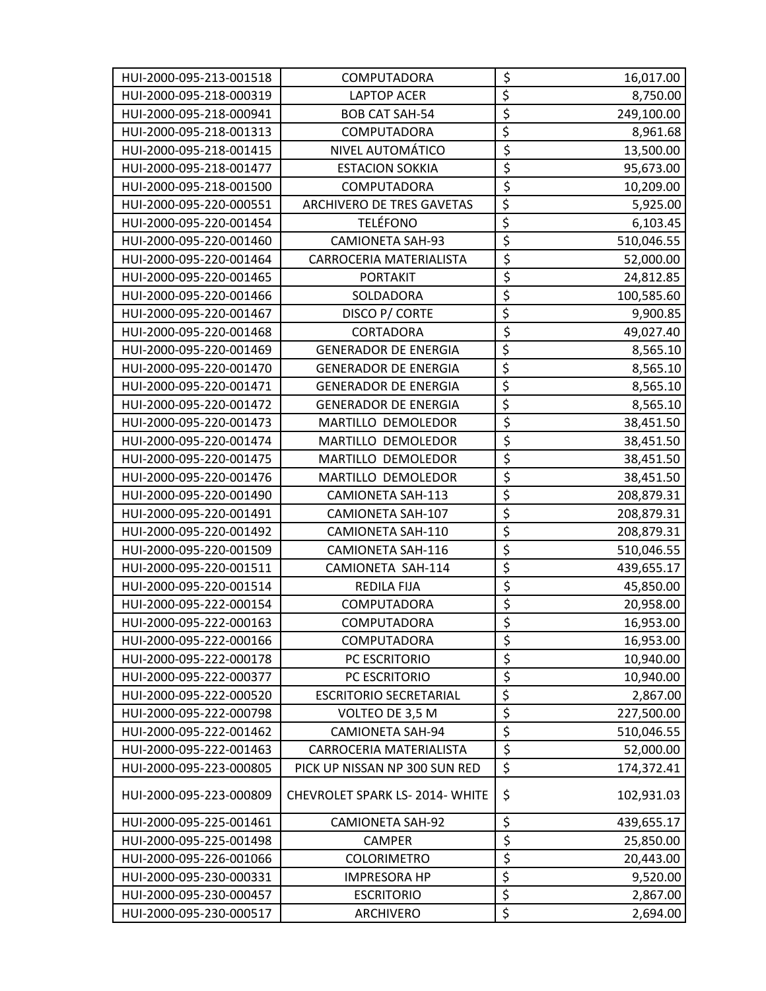| HUI-2000-095-213-001518 | COMPUTADORA                          | \$                              | 16,017.00  |
|-------------------------|--------------------------------------|---------------------------------|------------|
| HUI-2000-095-218-000319 | <b>LAPTOP ACER</b>                   | $\overline{\xi}$                | 8,750.00   |
| HUI-2000-095-218-000941 | <b>BOB CAT SAH-54</b>                | $\overline{\xi}$                | 249,100.00 |
| HUI-2000-095-218-001313 | <b>COMPUTADORA</b>                   | $\overline{\boldsymbol{\xi}}$   | 8,961.68   |
| HUI-2000-095-218-001415 | NIVEL AUTOMÁTICO                     | \$                              | 13,500.00  |
| HUI-2000-095-218-001477 | <b>ESTACION SOKKIA</b>               | $\overline{\xi}$                | 95,673.00  |
| HUI-2000-095-218-001500 | COMPUTADORA                          | $\overline{\xi}$                | 10,209.00  |
| HUI-2000-095-220-000551 | ARCHIVERO DE TRES GAVETAS            | $\overline{\boldsymbol{\zeta}}$ | 5,925.00   |
| HUI-2000-095-220-001454 | <b>TELÉFONO</b>                      | \$                              | 6,103.45   |
| HUI-2000-095-220-001460 | <b>CAMIONETA SAH-93</b>              | \$                              | 510,046.55 |
| HUI-2000-095-220-001464 | CARROCERIA MATERIALISTA              | $\overline{\xi}$                | 52,000.00  |
| HUI-2000-095-220-001465 | <b>PORTAKIT</b>                      | \$                              | 24,812.85  |
| HUI-2000-095-220-001466 | SOLDADORA                            | $\overline{\xi}$                | 100,585.60 |
| HUI-2000-095-220-001467 | DISCO P/ CORTE                       | \$                              | 9,900.85   |
| HUI-2000-095-220-001468 | CORTADORA                            | $\overline{\xi}$                | 49,027.40  |
| HUI-2000-095-220-001469 | <b>GENERADOR DE ENERGIA</b>          | $\overline{\xi}$                | 8,565.10   |
| HUI-2000-095-220-001470 | <b>GENERADOR DE ENERGIA</b>          | $\overline{\xi}$                | 8,565.10   |
| HUI-2000-095-220-001471 | <b>GENERADOR DE ENERGIA</b>          | $\overline{\xi}$                | 8,565.10   |
| HUI-2000-095-220-001472 | <b>GENERADOR DE ENERGIA</b>          | $\overline{\xi}$                | 8,565.10   |
| HUI-2000-095-220-001473 | MARTILLO DEMOLEDOR                   | \$                              | 38,451.50  |
| HUI-2000-095-220-001474 | MARTILLO DEMOLEDOR                   | $\overline{\xi}$                | 38,451.50  |
| HUI-2000-095-220-001475 | MARTILLO DEMOLEDOR                   | $\overline{\xi}$                | 38,451.50  |
| HUI-2000-095-220-001476 | MARTILLO DEMOLEDOR                   | $\overline{\xi}$                | 38,451.50  |
| HUI-2000-095-220-001490 | <b>CAMIONETA SAH-113</b>             | $\overline{\xi}$                | 208,879.31 |
| HUI-2000-095-220-001491 | CAMIONETA SAH-107                    | $\overline{\xi}$                | 208,879.31 |
| HUI-2000-095-220-001492 | CAMIONETA SAH-110                    | \$                              | 208,879.31 |
| HUI-2000-095-220-001509 | CAMIONETA SAH-116                    | $\overline{\xi}$                | 510,046.55 |
| HUI-2000-095-220-001511 | CAMIONETA SAH-114                    | \$                              | 439,655.17 |
| HUI-2000-095-220-001514 | <b>REDILA FIJA</b>                   | $\overline{\xi}$                | 45,850.00  |
| HUI-2000-095-222-000154 | COMPUTADORA                          | $\overline{\xi}$                | 20,958.00  |
| HUI-2000-095-222-000163 | <b>COMPUTADORA</b>                   | $\overline{\xi}$                | 16,953.00  |
| HUI-2000-095-222-000166 | COMPUTADORA                          | \$                              | 16,953.00  |
| HUI-2000-095-222-000178 | PC ESCRITORIO                        | $\overline{\xi}$                | 10,940.00  |
| HUI-2000-095-222-000377 | PC ESCRITORIO                        | $\overline{\boldsymbol{\zeta}}$ | 10,940.00  |
| HUI-2000-095-222-000520 | <b>ESCRITORIO SECRETARIAL</b>        | $\overline{\xi}$                | 2,867.00   |
| HUI-2000-095-222-000798 | VOLTEO DE 3,5 M                      | $\overline{\xi}$                | 227,500.00 |
| HUI-2000-095-222-001462 | <b>CAMIONETA SAH-94</b>              | $\overline{\xi}$                | 510,046.55 |
| HUI-2000-095-222-001463 | CARROCERIA MATERIALISTA              | $\overline{\xi}$                | 52,000.00  |
| HUI-2000-095-223-000805 | PICK UP NISSAN NP 300 SUN RED        | \$                              | 174,372.41 |
| HUI-2000-095-223-000809 | <b>CHEVROLET SPARK LS-2014-WHITE</b> | \$                              | 102,931.03 |
| HUI-2000-095-225-001461 | <b>CAMIONETA SAH-92</b>              | \$                              | 439,655.17 |
| HUI-2000-095-225-001498 | CAMPER                               | \$                              | 25,850.00  |
| HUI-2000-095-226-001066 | <b>COLORIMETRO</b>                   | $\overline{\xi}$                | 20,443.00  |
| HUI-2000-095-230-000331 | <b>IMPRESORA HP</b>                  | \$                              | 9,520.00   |
| HUI-2000-095-230-000457 | <b>ESCRITORIO</b>                    | $\overline{\xi}$                | 2,867.00   |
| HUI-2000-095-230-000517 | <b>ARCHIVERO</b>                     | $\overline{\xi}$                | 2,694.00   |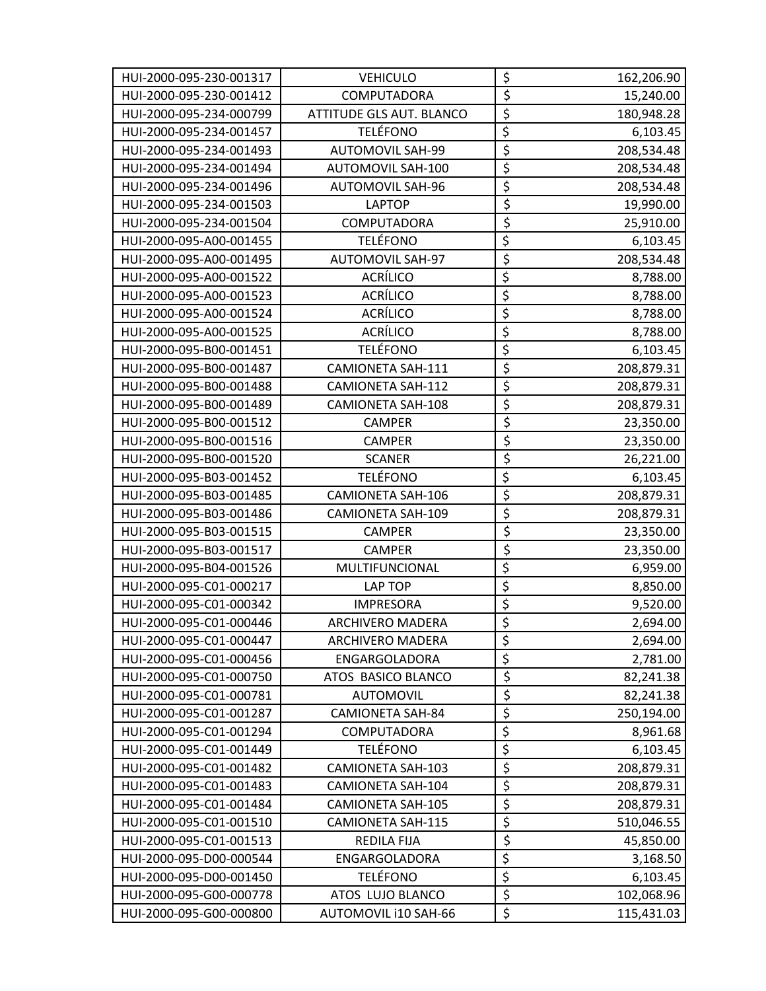| HUI-2000-095-230-001317 | <b>VEHICULO</b>          | \$                              | 162,206.90 |
|-------------------------|--------------------------|---------------------------------|------------|
| HUI-2000-095-230-001412 | COMPUTADORA              | $\overline{\xi}$                | 15,240.00  |
| HUI-2000-095-234-000799 | ATTITUDE GLS AUT. BLANCO | $\overline{\xi}$                | 180,948.28 |
| HUI-2000-095-234-001457 | <b>TELÉFONO</b>          | $\overline{\xi}$                | 6,103.45   |
| HUI-2000-095-234-001493 | <b>AUTOMOVIL SAH-99</b>  | $\overline{\xi}$                | 208,534.48 |
| HUI-2000-095-234-001494 | AUTOMOVIL SAH-100        | $\overline{\xi}$                | 208,534.48 |
| HUI-2000-095-234-001496 | <b>AUTOMOVIL SAH-96</b>  | $\overline{\boldsymbol{\zeta}}$ | 208,534.48 |
| HUI-2000-095-234-001503 | <b>LAPTOP</b>            | $\overline{\xi}$                | 19,990.00  |
| HUI-2000-095-234-001504 | COMPUTADORA              | $\overline{\xi}$                | 25,910.00  |
| HUI-2000-095-A00-001455 | <b>TELÉFONO</b>          | $\overline{\xi}$                | 6,103.45   |
| HUI-2000-095-A00-001495 | <b>AUTOMOVIL SAH-97</b>  | $\overline{\xi}$                | 208,534.48 |
| HUI-2000-095-A00-001522 | ACRÍLICO                 | $\overline{\xi}$                | 8,788.00   |
| HUI-2000-095-A00-001523 | <b>ACRÍLICO</b>          | \$                              | 8,788.00   |
| HUI-2000-095-A00-001524 | <b>ACRÍLICO</b>          | \$                              | 8,788.00   |
| HUI-2000-095-A00-001525 | <b>ACRÍLICO</b>          | $\overline{\xi}$                | 8,788.00   |
| HUI-2000-095-B00-001451 | <b>TELÉFONO</b>          | \$                              | 6,103.45   |
| HUI-2000-095-B00-001487 | CAMIONETA SAH-111        | $\overline{\xi}$                | 208,879.31 |
| HUI-2000-095-B00-001488 | <b>CAMIONETA SAH-112</b> | $\overline{\xi}$                | 208,879.31 |
| HUI-2000-095-B00-001489 | <b>CAMIONETA SAH-108</b> | \$                              | 208,879.31 |
| HUI-2000-095-B00-001512 | <b>CAMPER</b>            | $\overline{\xi}$                | 23,350.00  |
| HUI-2000-095-B00-001516 | <b>CAMPER</b>            | $\overline{\boldsymbol{\zeta}}$ | 23,350.00  |
| HUI-2000-095-B00-001520 | <b>SCANER</b>            | $\overline{\xi}$                | 26,221.00  |
| HUI-2000-095-B03-001452 | <b>TELÉFONO</b>          | $\overline{\xi}$                | 6,103.45   |
| HUI-2000-095-B03-001485 | <b>CAMIONETA SAH-106</b> | \$                              | 208,879.31 |
| HUI-2000-095-B03-001486 | <b>CAMIONETA SAH-109</b> | $\overline{\xi}$                | 208,879.31 |
| HUI-2000-095-B03-001515 | <b>CAMPER</b>            | $\overline{\boldsymbol{\zeta}}$ | 23,350.00  |
| HUI-2000-095-B03-001517 | <b>CAMPER</b>            | $\overline{\xi}$                | 23,350.00  |
| HUI-2000-095-B04-001526 | MULTIFUNCIONAL           | $\overline{\xi}$                | 6,959.00   |
| HUI-2000-095-C01-000217 | <b>LAP TOP</b>           | $\overline{\xi}$                | 8,850.00   |
| HUI-2000-095-C01-000342 | <b>IMPRESORA</b>         | $\overline{\xi}$                | 9,520.00   |
| HUI-2000-095-C01-000446 | <b>ARCHIVERO MADERA</b>  | $\overline{\xi}$                | 2,694.00   |
| HUI-2000-095-C01-000447 | ARCHIVERO MADERA         | \$                              | 2,694.00   |
| HUI-2000-095-C01-000456 | ENGARGOLADORA            | $\overline{\boldsymbol{\zeta}}$ | 2,781.00   |
| HUI-2000-095-C01-000750 | ATOS BASICO BLANCO       | $\overline{\xi}$                | 82,241.38  |
| HUI-2000-095-C01-000781 | <b>AUTOMOVIL</b>         | $\overline{\boldsymbol{\zeta}}$ | 82,241.38  |
| HUI-2000-095-C01-001287 | <b>CAMIONETA SAH-84</b>  | \$                              | 250,194.00 |
| HUI-2000-095-C01-001294 | COMPUTADORA              | $\overline{\xi}$                | 8,961.68   |
| HUI-2000-095-C01-001449 | <b>TELÉFONO</b>          | \$                              | 6,103.45   |
| HUI-2000-095-C01-001482 | <b>CAMIONETA SAH-103</b> | $\overline{\xi}$                | 208,879.31 |
| HUI-2000-095-C01-001483 | <b>CAMIONETA SAH-104</b> | $\overline{\xi}$                | 208,879.31 |
| HUI-2000-095-C01-001484 | <b>CAMIONETA SAH-105</b> | $\overline{\xi}$                | 208,879.31 |
| HUI-2000-095-C01-001510 | <b>CAMIONETA SAH-115</b> | \$                              | 510,046.55 |
| HUI-2000-095-C01-001513 | <b>REDILA FIJA</b>       | \$                              | 45,850.00  |
| HUI-2000-095-D00-000544 | ENGARGOLADORA            | $\overline{\xi}$                | 3,168.50   |
| HUI-2000-095-D00-001450 | <b>TELÉFONO</b>          | $\overline{\xi}$                | 6,103.45   |
| HUI-2000-095-G00-000778 | ATOS LUJO BLANCO         | $\overline{\xi}$                | 102,068.96 |
| HUI-2000-095-G00-000800 | AUTOMOVIL i10 SAH-66     | $\overline{\xi}$                | 115,431.03 |